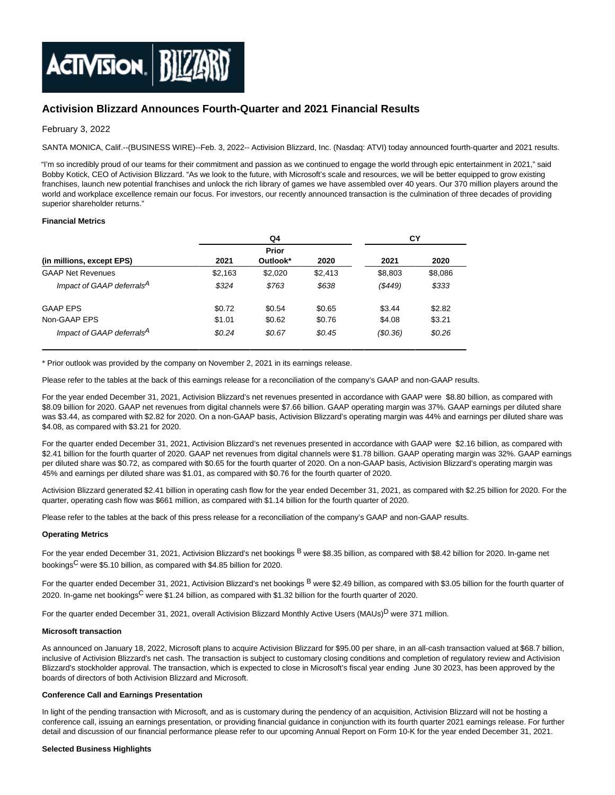

# **Activision Blizzard Announces Fourth-Quarter and 2021 Financial Results**

# February 3, 2022

SANTA MONICA, Calif.--(BUSINESS WIRE)--Feb. 3, 2022-- Activision Blizzard, Inc. (Nasdaq: ATVI) today announced fourth-quarter and 2021 results.

"I'm so incredibly proud of our teams for their commitment and passion as we continued to engage the world through epic entertainment in 2021," said Bobby Kotick, CEO of Activision Blizzard. "As we look to the future, with Microsoft's scale and resources, we will be better equipped to grow existing franchises, launch new potential franchises and unlock the rich library of games we have assembled over 40 years. Our 370 million players around the world and workplace excellence remain our focus. For investors, our recently announced transaction is the culmination of three decades of providing superior shareholder returns."

# **Financial Metrics**

|                                       |         | Q4       |         | СY      |         |  |  |  |
|---------------------------------------|---------|----------|---------|---------|---------|--|--|--|
|                                       |         | Prior    |         |         |         |  |  |  |
| (in millions, except EPS)             | 2021    | Outlook* | 2020    | 2021    | 2020    |  |  |  |
| <b>GAAP Net Revenues</b>              | \$2,163 | \$2.020  | \$2.413 | \$8,803 | \$8,086 |  |  |  |
| Impact of GAAP deferrals <sup>A</sup> | \$324   | \$763    | \$638   | (S449)  | \$333   |  |  |  |
| <b>GAAP EPS</b>                       | \$0.72  | \$0.54   | \$0.65  | \$3.44  | \$2.82  |  |  |  |
| Non-GAAP EPS                          | \$1.01  | \$0.62   | \$0.76  | \$4.08  | \$3.21  |  |  |  |
| Impact of GAAP deferrals <sup>A</sup> | \$0.24  | \$0.67   | \$0.45  | (S0.36) | \$0.26  |  |  |  |

\* Prior outlook was provided by the company on November 2, 2021 in its earnings release.

Please refer to the tables at the back of this earnings release for a reconciliation of the company's GAAP and non-GAAP results.

For the year ended December 31, 2021, Activision Blizzard's net revenues presented in accordance with GAAP were \$8.80 billion, as compared with \$8.09 billion for 2020. GAAP net revenues from digital channels were \$7.66 billion. GAAP operating margin was 37%. GAAP earnings per diluted share was \$3.44, as compared with \$2.82 for 2020. On a non-GAAP basis, Activision Blizzard's operating margin was 44% and earnings per diluted share was \$4.08, as compared with \$3.21 for 2020.

For the quarter ended December 31, 2021, Activision Blizzard's net revenues presented in accordance with GAAP were \$2.16 billion, as compared with \$2.41 billion for the fourth quarter of 2020. GAAP net revenues from digital channels were \$1.78 billion. GAAP operating margin was 32%. GAAP earnings per diluted share was \$0.72, as compared with \$0.65 for the fourth quarter of 2020. On a non-GAAP basis, Activision Blizzard's operating margin was 45% and earnings per diluted share was \$1.01, as compared with \$0.76 for the fourth quarter of 2020.

Activision Blizzard generated \$2.41 billion in operating cash flow for the year ended December 31, 2021, as compared with \$2.25 billion for 2020. For the quarter, operating cash flow was \$661 million, as compared with \$1.14 billion for the fourth quarter of 2020.

Please refer to the tables at the back of this press release for a reconciliation of the company's GAAP and non-GAAP results.

#### **Operating Metrics**

For the year ended December 31, 2021, Activision Blizzard's net bookings <sup>B</sup> were \$8.35 billion, as compared with \$8.42 billion for 2020. In-game net bookingsC were \$5.10 billion, as compared with \$4.85 billion for 2020.

For the quarter ended December 31, 2021, Activision Blizzard's net bookings <sup>B</sup> were \$2.49 billion, as compared with \$3.05 billion for the fourth quarter of 2020. In-game net bookings<sup>C</sup> were \$1.24 billion, as compared with \$1.32 billion for the fourth quarter of 2020.

For the quarter ended December 31, 2021, overall Activision Blizzard Monthly Active Users (MAUs)<sup>D</sup> were 371 million.

#### **Microsoft transaction**

As announced on January 18, 2022, Microsoft plans to acquire Activision Blizzard for \$95.00 per share, in an all-cash transaction valued at \$68.7 billion, inclusive of Activision Blizzard's net cash. The transaction is subject to customary closing conditions and completion of regulatory review and Activision Blizzard's stockholder approval. The transaction, which is expected to close in Microsoft's fiscal year ending June 30 2023, has been approved by the boards of directors of both Activision Blizzard and Microsoft.

# **Conference Call and Earnings Presentation**

In light of the pending transaction with Microsoft, and as is customary during the pendency of an acquisition, Activision Blizzard will not be hosting a conference call, issuing an earnings presentation, or providing financial guidance in conjunction with its fourth quarter 2021 earnings release. For further detail and discussion of our financial performance please refer to our upcoming Annual Report on Form 10-K for the year ended December 31, 2021.

#### **Selected Business Highlights**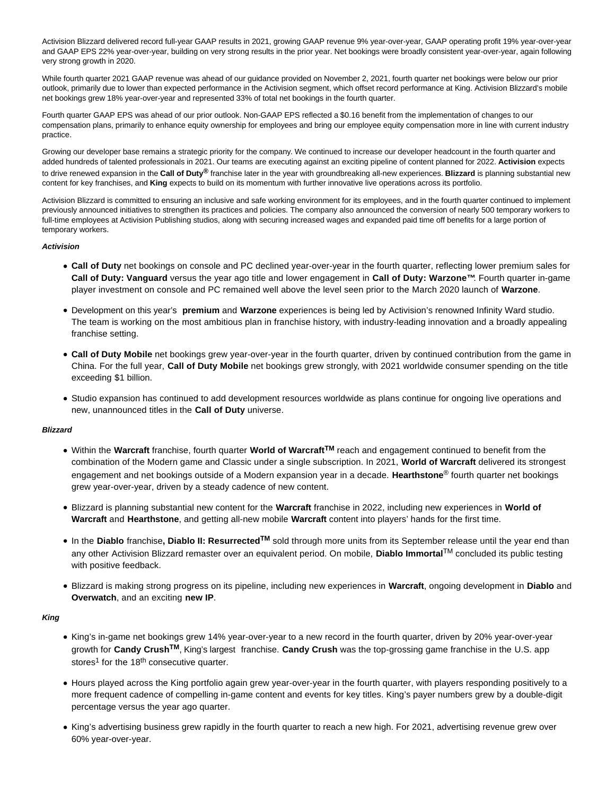Activision Blizzard delivered record full-year GAAP results in 2021, growing GAAP revenue 9% year-over-year, GAAP operating profit 19% year-over-year and GAAP EPS 22% year-over-year, building on very strong results in the prior year. Net bookings were broadly consistent year-over-year, again following very strong growth in 2020.

While fourth quarter 2021 GAAP revenue was ahead of our guidance provided on November 2, 2021, fourth quarter net bookings were below our prior outlook, primarily due to lower than expected performance in the Activision segment, which offset record performance at King. Activision Blizzard's mobile net bookings grew 18% year-over-year and represented 33% of total net bookings in the fourth quarter.

Fourth quarter GAAP EPS was ahead of our prior outlook. Non-GAAP EPS reflected a \$0.16 benefit from the implementation of changes to our compensation plans, primarily to enhance equity ownership for employees and bring our employee equity compensation more in line with current industry practice.

Growing our developer base remains a strategic priority for the company. We continued to increase our developer headcount in the fourth quarter and added hundreds of talented professionals in 2021. Our teams are executing against an exciting pipeline of content planned for 2022. **Activision** expects to drive renewed expansion in the **Call of Duty®** franchise later in the year with groundbreaking all-new experiences. **Blizzard** is planning substantial new content for key franchises, and **King** expects to build on its momentum with further innovative live operations across its portfolio.

Activision Blizzard is committed to ensuring an inclusive and safe working environment for its employees, and in the fourth quarter continued to implement previously announced initiatives to strengthen its practices and policies. The company also announced the conversion of nearly 500 temporary workers to full-time employees at Activision Publishing studios, along with securing increased wages and expanded paid time off benefits for a large portion of temporary workers.

# **Activision**

- **Call of Duty** net bookings on console and PC declined year-over-year in the fourth quarter, reflecting lower premium sales for **Call of Duty: Vanguard** versus the year ago title and lower engagement in **Call of Duty: Warzone™**. Fourth quarter in-game player investment on console and PC remained well above the level seen prior to the March 2020 launch of **Warzone**.
- Development on this year's **premium** and **Warzone** experiences is being led by Activision's renowned Infinity Ward studio. The team is working on the most ambitious plan in franchise history, with industry-leading innovation and a broadly appealing franchise setting.
- **Call of Duty Mobile** net bookings grew year-over-year in the fourth quarter, driven by continued contribution from the game in China. For the full year, **Call of Duty Mobile** net bookings grew strongly, with 2021 worldwide consumer spending on the title exceeding \$1 billion.
- Studio expansion has continued to add development resources worldwide as plans continue for ongoing live operations and new, unannounced titles in the **Call of Duty** universe.

# **Blizzard**

- Within the **Warcraft** franchise, fourth quarter **World of WarcraftTM** reach and engagement continued to benefit from the combination of the Modern game and Classic under a single subscription. In 2021, **World of Warcraft** delivered its strongest engagement and net bookings outside of a Modern expansion year in a decade. **Hearthstone**® fourth quarter net bookings grew year-over-year, driven by a steady cadence of new content.
- Blizzard is planning substantial new content for the **Warcraft** franchise in 2022, including new experiences in **World of Warcraft** and **Hearthstone**, and getting all-new mobile **Warcraft** content into players' hands for the first time.
- In the **Diablo** franchise**, Diablo II: ResurrectedTM** sold through more units from its September release until the year end than any other Activision Blizzard remaster over an equivalent period. On mobile, **Diablo Immortal**TM concluded its public testing with positive feedback.
- Blizzard is making strong progress on its pipeline, including new experiences in **Warcraft**, ongoing development in **Diablo** and **Overwatch**, and an exciting **new IP**.

#### **King**

- King's in-game net bookings grew 14% year-over-year to a new record in the fourth quarter, driven by 20% year-over-year growth for **Candy CrushTM**, King's largest franchise. **Candy Crush** was the top-grossing game franchise in the U.S. app stores<sup>1</sup> for the 18<sup>th</sup> consecutive quarter.
- Hours played across the King portfolio again grew year-over-year in the fourth quarter, with players responding positively to a more frequent cadence of compelling in-game content and events for key titles. King's payer numbers grew by a double-digit percentage versus the year ago quarter.
- King's advertising business grew rapidly in the fourth quarter to reach a new high. For 2021, advertising revenue grew over 60% year-over-year.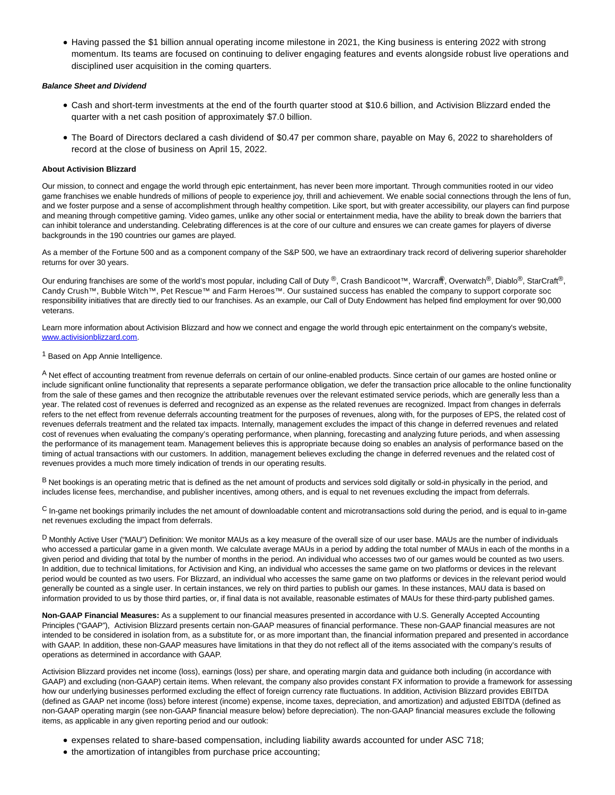Having passed the \$1 billion annual operating income milestone in 2021, the King business is entering 2022 with strong momentum. Its teams are focused on continuing to deliver engaging features and events alongside robust live operations and disciplined user acquisition in the coming quarters.

# **Balance Sheet and Dividend**

- Cash and short-term investments at the end of the fourth quarter stood at \$10.6 billion, and Activision Blizzard ended the quarter with a net cash position of approximately \$7.0 billion.
- The Board of Directors declared a cash dividend of \$0.47 per common share, payable on May 6, 2022 to shareholders of record at the close of business on April 15, 2022.

# **About Activision Blizzard**

Our mission, to connect and engage the world through epic entertainment, has never been more important. Through communities rooted in our video game franchises we enable hundreds of millions of people to experience joy, thrill and achievement. We enable social connections through the lens of fun, and we foster purpose and a sense of accomplishment through healthy competition. Like sport, but with greater accessibility, our players can find purpose and meaning through competitive gaming. Video games, unlike any other social or entertainment media, have the ability to break down the barriers that can inhibit tolerance and understanding. Celebrating differences is at the core of our culture and ensures we can create games for players of diverse backgrounds in the 190 countries our games are played.

As a member of the Fortune 500 and as a component company of the S&P 500, we have an extraordinary track record of delivering superior shareholder returns for over 30 years.

Our enduring franchises are some of the world's most popular, including Call of Duty <sup>®</sup>, Crash Bandicoot™, Warcraft®, Overwatch<sup>®</sup>, Diablo<sup>®</sup>, StarCraft<sup>®</sup>, Candy Crush™, Bubble Witch™, Pet Rescue™ and Farm Heroes™. Our sustained success has enabled the company to support corporate social responsibility initiatives that are directly tied to our franchises. As an example, our Call of Duty Endowment has helped find employment for over 90,000 veterans.

Learn more information about Activision Blizzard and how we connect and engage the world through epic entertainment on the company's website, [www.activisionblizzard.com.](https://cts.businesswire.com/ct/CT?id=smartlink&url=http%3A%2F%2Fwww.activisionblizzard.com&esheet=52573559&newsitemid=20220202006035&lan=en-US&anchor=www.activisionblizzard.com&index=1&md5=c2f41dfd835c5f0f284a3ad83ad39ed1)

# 1 Based on App Annie Intelligence.

A Net effect of accounting treatment from revenue deferrals on certain of our online-enabled products. Since certain of our games are hosted online or include significant online functionality that represents a separate performance obligation, we defer the transaction price allocable to the online functionality from the sale of these games and then recognize the attributable revenues over the relevant estimated service periods, which are generally less than a year. The related cost of revenues is deferred and recognized as an expense as the related revenues are recognized. Impact from changes in deferrals refers to the net effect from revenue deferrals accounting treatment for the purposes of revenues, along with, for the purposes of EPS, the related cost of revenues deferrals treatment and the related tax impacts. Internally, management excludes the impact of this change in deferred revenues and related cost of revenues when evaluating the company's operating performance, when planning, forecasting and analyzing future periods, and when assessing the performance of its management team. Management believes this is appropriate because doing so enables an analysis of performance based on the timing of actual transactions with our customers. In addition, management believes excluding the change in deferred revenues and the related cost of revenues provides a much more timely indication of trends in our operating results.

B Net bookings is an operating metric that is defined as the net amount of products and services sold digitally or sold-in physically in the period, and includes license fees, merchandise, and publisher incentives, among others, and is equal to net revenues excluding the impact from deferrals.

 $C$  In-game net bookings primarily includes the net amount of downloadable content and microtransactions sold during the period, and is equal to in-game net revenues excluding the impact from deferrals.

D Monthly Active User ("MAU") Definition: We monitor MAUs as a key measure of the overall size of our user base. MAUs are the number of individuals who accessed a particular game in a given month. We calculate average MAUs in a period by adding the total number of MAUs in each of the months in a given period and dividing that total by the number of months in the period. An individual who accesses two of our games would be counted as two users. In addition, due to technical limitations, for Activision and King, an individual who accesses the same game on two platforms or devices in the relevant period would be counted as two users. For Blizzard, an individual who accesses the same game on two platforms or devices in the relevant period would generally be counted as a single user. In certain instances, we rely on third parties to publish our games. In these instances, MAU data is based on information provided to us by those third parties, or, if final data is not available, reasonable estimates of MAUs for these third-party published games.

**Non-GAAP Financial Measures:** As a supplement to our financial measures presented in accordance with U.S. Generally Accepted Accounting Principles ("GAAP"), Activision Blizzard presents certain non-GAAP measures of financial performance. These non-GAAP financial measures are not intended to be considered in isolation from, as a substitute for, or as more important than, the financial information prepared and presented in accordance with GAAP. In addition, these non-GAAP measures have limitations in that they do not reflect all of the items associated with the company's results of operations as determined in accordance with GAAP.

Activision Blizzard provides net income (loss), earnings (loss) per share, and operating margin data and guidance both including (in accordance with GAAP) and excluding (non-GAAP) certain items. When relevant, the company also provides constant FX information to provide a framework for assessing how our underlying businesses performed excluding the effect of foreign currency rate fluctuations. In addition, Activision Blizzard provides EBITDA (defined as GAAP net income (loss) before interest (income) expense, income taxes, depreciation, and amortization) and adjusted EBITDA (defined as non-GAAP operating margin (see non-GAAP financial measure below) before depreciation). The non-GAAP financial measures exclude the following items, as applicable in any given reporting period and our outlook:

- expenses related to share-based compensation, including liability awards accounted for under ASC 718;
- the amortization of intangibles from purchase price accounting;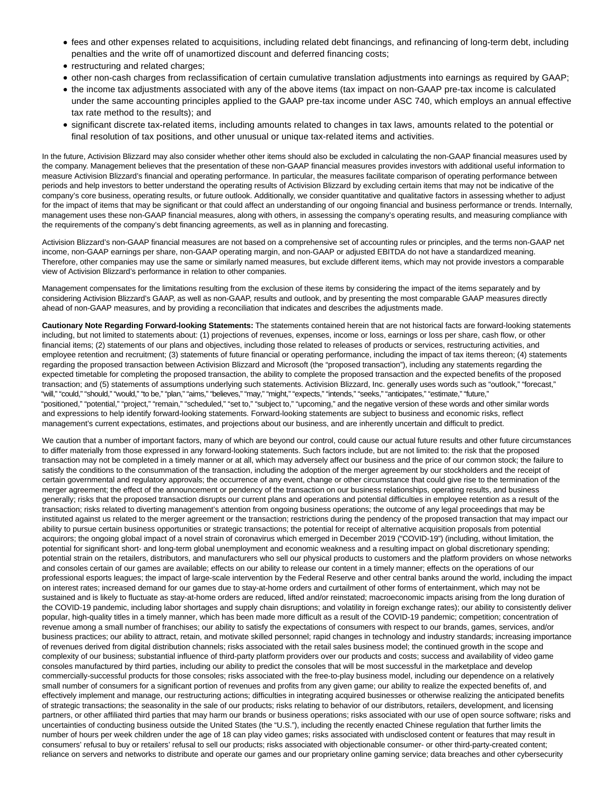- fees and other expenses related to acquisitions, including related debt financings, and refinancing of long-term debt, including penalties and the write off of unamortized discount and deferred financing costs;
- restructuring and related charges;
- other non-cash charges from reclassification of certain cumulative translation adjustments into earnings as required by GAAP;
- the income tax adjustments associated with any of the above items (tax impact on non-GAAP pre-tax income is calculated under the same accounting principles applied to the GAAP pre-tax income under ASC 740, which employs an annual effective tax rate method to the results); and
- significant discrete tax-related items, including amounts related to changes in tax laws, amounts related to the potential or final resolution of tax positions, and other unusual or unique tax-related items and activities.

In the future, Activision Blizzard may also consider whether other items should also be excluded in calculating the non-GAAP financial measures used by the company. Management believes that the presentation of these non-GAAP financial measures provides investors with additional useful information to measure Activision Blizzard's financial and operating performance. In particular, the measures facilitate comparison of operating performance between periods and help investors to better understand the operating results of Activision Blizzard by excluding certain items that may not be indicative of the company's core business, operating results, or future outlook. Additionally, we consider quantitative and qualitative factors in assessing whether to adjust for the impact of items that may be significant or that could affect an understanding of our ongoing financial and business performance or trends. Internally, management uses these non-GAAP financial measures, along with others, in assessing the company's operating results, and measuring compliance with the requirements of the company's debt financing agreements, as well as in planning and forecasting.

Activision Blizzard's non-GAAP financial measures are not based on a comprehensive set of accounting rules or principles, and the terms non-GAAP net income, non-GAAP earnings per share, non-GAAP operating margin, and non-GAAP or adjusted EBITDA do not have a standardized meaning. Therefore, other companies may use the same or similarly named measures, but exclude different items, which may not provide investors a comparable view of Activision Blizzard's performance in relation to other companies.

Management compensates for the limitations resulting from the exclusion of these items by considering the impact of the items separately and by considering Activision Blizzard's GAAP, as well as non-GAAP, results and outlook, and by presenting the most comparable GAAP measures directly ahead of non-GAAP measures, and by providing a reconciliation that indicates and describes the adjustments made.

**Cautionary Note Regarding Forward-looking Statements:** The statements contained herein that are not historical facts are forward-looking statements including, but not limited to statements about: (1) projections of revenues, expenses, income or loss, earnings or loss per share, cash flow, or other financial items; (2) statements of our plans and objectives, including those related to releases of products or services, restructuring activities, and employee retention and recruitment; (3) statements of future financial or operating performance, including the impact of tax items thereon; (4) statements regarding the proposed transaction between Activision Blizzard and Microsoft (the "proposed transaction"), including any statements regarding the expected timetable for completing the proposed transaction, the ability to complete the proposed transaction and the expected benefits of the proposed transaction; and (5) statements of assumptions underlying such statements. Activision Blizzard, Inc. generally uses words such as "outlook," "forecast," "will," "could," "should," "would," "to be," "plan," "aims," "believes," "may," "might," "expects," "intends," "seeks," "anticipates," "estimate," "future," "positioned," "potential," "project," "remain," "scheduled," "set to," "subject to," "upcoming," and the negative version of these words and other similar words and expressions to help identify forward-looking statements. Forward-looking statements are subject to business and economic risks, reflect management's current expectations, estimates, and projections about our business, and are inherently uncertain and difficult to predict.

We caution that a number of important factors, many of which are beyond our control, could cause our actual future results and other future circumstances to differ materially from those expressed in any forward-looking statements. Such factors include, but are not limited to: the risk that the proposed transaction may not be completed in a timely manner or at all, which may adversely affect our business and the price of our common stock; the failure to satisfy the conditions to the consummation of the transaction, including the adoption of the merger agreement by our stockholders and the receipt of certain governmental and regulatory approvals; the occurrence of any event, change or other circumstance that could give rise to the termination of the merger agreement; the effect of the announcement or pendency of the transaction on our business relationships, operating results, and business generally; risks that the proposed transaction disrupts our current plans and operations and potential difficulties in employee retention as a result of the transaction; risks related to diverting management's attention from ongoing business operations; the outcome of any legal proceedings that may be instituted against us related to the merger agreement or the transaction; restrictions during the pendency of the proposed transaction that may impact our ability to pursue certain business opportunities or strategic transactions; the potential for receipt of alternative acquisition proposals from potential acquirors; the ongoing global impact of a novel strain of coronavirus which emerged in December 2019 ("COVID-19") (including, without limitation, the potential for significant short- and long-term global unemployment and economic weakness and a resulting impact on global discretionary spending; potential strain on the retailers, distributors, and manufacturers who sell our physical products to customers and the platform providers on whose networks and consoles certain of our games are available; effects on our ability to release our content in a timely manner; effects on the operations of our professional esports leagues; the impact of large-scale intervention by the Federal Reserve and other central banks around the world, including the impact on interest rates; increased demand for our games due to stay-at-home orders and curtailment of other forms of entertainment, which may not be sustained and is likely to fluctuate as stay-at-home orders are reduced, lifted and/or reinstated; macroeconomic impacts arising from the long duration of the COVID-19 pandemic, including labor shortages and supply chain disruptions; and volatility in foreign exchange rates); our ability to consistently deliver popular, high-quality titles in a timely manner, which has been made more difficult as a result of the COVID-19 pandemic; competition; concentration of revenue among a small number of franchises; our ability to satisfy the expectations of consumers with respect to our brands, games, services, and/or business practices; our ability to attract, retain, and motivate skilled personnel; rapid changes in technology and industry standards; increasing importance of revenues derived from digital distribution channels; risks associated with the retail sales business model; the continued growth in the scope and complexity of our business; substantial influence of third-party platform providers over our products and costs; success and availability of video game consoles manufactured by third parties, including our ability to predict the consoles that will be most successful in the marketplace and develop commercially-successful products for those consoles; risks associated with the free-to-play business model, including our dependence on a relatively small number of consumers for a significant portion of revenues and profits from any given game; our ability to realize the expected benefits of, and effectively implement and manage, our restructuring actions; difficulties in integrating acquired businesses or otherwise realizing the anticipated benefits of strategic transactions; the seasonality in the sale of our products; risks relating to behavior of our distributors, retailers, development, and licensing partners, or other affiliated third parties that may harm our brands or business operations; risks associated with our use of open source software; risks and uncertainties of conducting business outside the United States (the "U.S."), including the recently enacted Chinese regulation that further limits the number of hours per week children under the age of 18 can play video games; risks associated with undisclosed content or features that may result in consumers' refusal to buy or retailers' refusal to sell our products; risks associated with objectionable consumer- or other third-party-created content; reliance on servers and networks to distribute and operate our games and our proprietary online gaming service; data breaches and other cybersecurity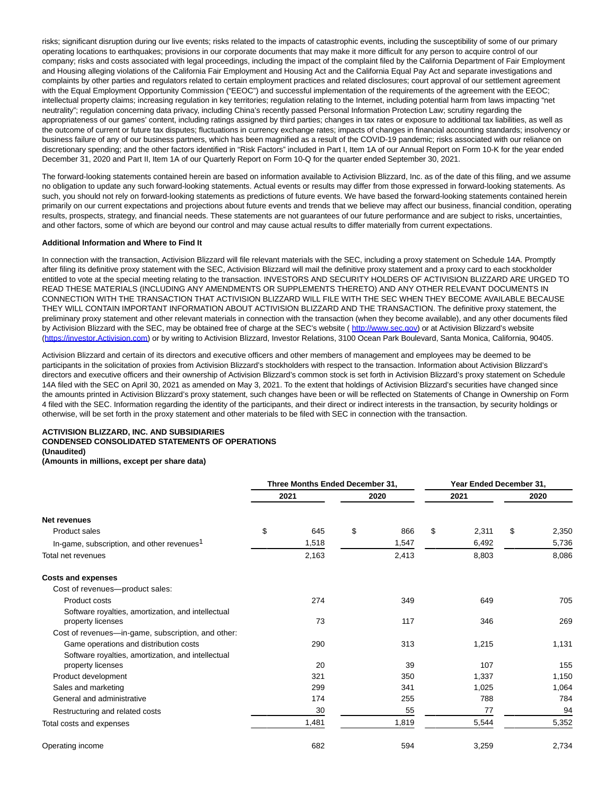risks; significant disruption during our live events; risks related to the impacts of catastrophic events, including the susceptibility of some of our primary operating locations to earthquakes; provisions in our corporate documents that may make it more difficult for any person to acquire control of our company; risks and costs associated with legal proceedings, including the impact of the complaint filed by the California Department of Fair Employment and Housing alleging violations of the California Fair Employment and Housing Act and the California Equal Pay Act and separate investigations and complaints by other parties and regulators related to certain employment practices and related disclosures; court approval of our settlement agreement with the Equal Employment Opportunity Commission ("EEOC") and successful implementation of the requirements of the agreement with the EEOC; intellectual property claims; increasing regulation in key territories; regulation relating to the Internet, including potential harm from laws impacting "net neutrality"; regulation concerning data privacy, including China's recently passed Personal Information Protection Law; scrutiny regarding the appropriateness of our games' content, including ratings assigned by third parties; changes in tax rates or exposure to additional tax liabilities, as well as the outcome of current or future tax disputes; fluctuations in currency exchange rates; impacts of changes in financial accounting standards; insolvency or business failure of any of our business partners, which has been magnified as a result of the COVID-19 pandemic; risks associated with our reliance on discretionary spending; and the other factors identified in "Risk Factors" included in Part I, Item 1A of our Annual Report on Form 10-K for the year ended December 31, 2020 and Part II, Item 1A of our Quarterly Report on Form 10-Q for the quarter ended September 30, 2021.

The forward-looking statements contained herein are based on information available to Activision Blizzard, Inc. as of the date of this filing, and we assume no obligation to update any such forward-looking statements. Actual events or results may differ from those expressed in forward-looking statements. As such, you should not rely on forward-looking statements as predictions of future events. We have based the forward-looking statements contained herein primarily on our current expectations and projections about future events and trends that we believe may affect our business, financial condition, operating results, prospects, strategy, and financial needs. These statements are not guarantees of our future performance and are subject to risks, uncertainties, and other factors, some of which are beyond our control and may cause actual results to differ materially from current expectations.

# **Additional Information and Where to Find It**

In connection with the transaction, Activision Blizzard will file relevant materials with the SEC, including a proxy statement on Schedule 14A. Promptly after filing its definitive proxy statement with the SEC, Activision Blizzard will mail the definitive proxy statement and a proxy card to each stockholder entitled to vote at the special meeting relating to the transaction. INVESTORS AND SECURITY HOLDERS OF ACTIVISION BLIZZARD ARE URGED TO READ THESE MATERIALS (INCLUDING ANY AMENDMENTS OR SUPPLEMENTS THERETO) AND ANY OTHER RELEVANT DOCUMENTS IN CONNECTION WITH THE TRANSACTION THAT ACTIVISION BLIZZARD WILL FILE WITH THE SEC WHEN THEY BECOME AVAILABLE BECAUSE THEY WILL CONTAIN IMPORTANT INFORMATION ABOUT ACTIVISION BLIZZARD AND THE TRANSACTION. The definitive proxy statement, the preliminary proxy statement and other relevant materials in connection with the transaction (when they become available), and any other documents filed by Activision Blizzard with the SEC, may be obtained free of charge at the SEC's website ([http://www.sec.gov\)](https://cts.businesswire.com/ct/CT?id=smartlink&url=http%3A%2F%2Fwww.sec.gov&esheet=52573559&newsitemid=20220202006035&lan=en-US&anchor=http%3A%2F%2Fwww.sec.gov&index=2&md5=da0a1b6a53fb34a4f8e81b69070b51c8) or at Activision Blizzard's website [\(https://investor.Activision.com\)](https://cts.businesswire.com/ct/CT?id=smartlink&url=https%3A%2F%2Finvestor.Activision.com&esheet=52573559&newsitemid=20220202006035&lan=en-US&anchor=https%3A%2F%2Finvestor.Activision.com&index=3&md5=e940917b56b717b7c651c28b9fc02dac) or by writing to Activision Blizzard, Investor Relations, 3100 Ocean Park Boulevard, Santa Monica, California, 90405.

Activision Blizzard and certain of its directors and executive officers and other members of management and employees may be deemed to be participants in the solicitation of proxies from Activision Blizzard's stockholders with respect to the transaction. Information about Activision Blizzard's directors and executive officers and their ownership of Activision Blizzard's common stock is set forth in Activision Blizzard's proxy statement on Schedule 14A filed with the SEC on April 30, 2021 as amended on May 3, 2021. To the extent that holdings of Activision Blizzard's securities have changed since the amounts printed in Activision Blizzard's proxy statement, such changes have been or will be reflected on Statements of Change in Ownership on Form 4 filed with the SEC. Information regarding the identity of the participants, and their direct or indirect interests in the transaction, by security holdings or otherwise, will be set forth in the proxy statement and other materials to be filed with SEC in connection with the transaction.

# **ACTIVISION BLIZZARD, INC. AND SUBSIDIARIES CONDENSED CONSOLIDATED STATEMENTS OF OPERATIONS (Unaudited)**

**(Amounts in millions, except per share data)**

|                                                                         | Three Months Ended December 31, |           |             | Year Ended December 31, |       |  |
|-------------------------------------------------------------------------|---------------------------------|-----------|-------------|-------------------------|-------|--|
|                                                                         | 2021                            | 2020      | 2021        |                         | 2020  |  |
| <b>Net revenues</b>                                                     |                                 |           |             |                         |       |  |
| Product sales                                                           | \$<br>645                       | \$<br>866 | \$<br>2,311 | \$                      | 2,350 |  |
| In-game, subscription, and other revenues <sup>1</sup>                  | 1,518                           | 1,547     | 6,492       |                         | 5,736 |  |
| Total net revenues                                                      | 2,163                           | 2,413     | 8,803       |                         | 8,086 |  |
| <b>Costs and expenses</b>                                               |                                 |           |             |                         |       |  |
| Cost of revenues-product sales:                                         |                                 |           |             |                         |       |  |
| Product costs                                                           | 274                             | 349       | 649         |                         | 705   |  |
| Software royalties, amortization, and intellectual<br>property licenses | 73                              | 117       | 346         |                         | 269   |  |
| Cost of revenues—in-game, subscription, and other:                      |                                 |           |             |                         |       |  |
| Game operations and distribution costs                                  | 290                             | 313       | 1,215       |                         | 1,131 |  |
| Software royalties, amortization, and intellectual<br>property licenses | 20                              | 39        | 107         |                         | 155   |  |
| Product development                                                     | 321                             | 350       | 1,337       |                         | 1,150 |  |
| Sales and marketing                                                     | 299                             | 341       | 1,025       |                         | 1,064 |  |
| General and administrative                                              | 174                             | 255       | 788         |                         | 784   |  |
| Restructuring and related costs                                         | 30                              | 55        | 77          |                         | 94    |  |
| Total costs and expenses                                                | 1,481                           | 1,819     | 5,544       |                         | 5,352 |  |
| Operating income                                                        | 682                             | 594       | 3,259       |                         | 2,734 |  |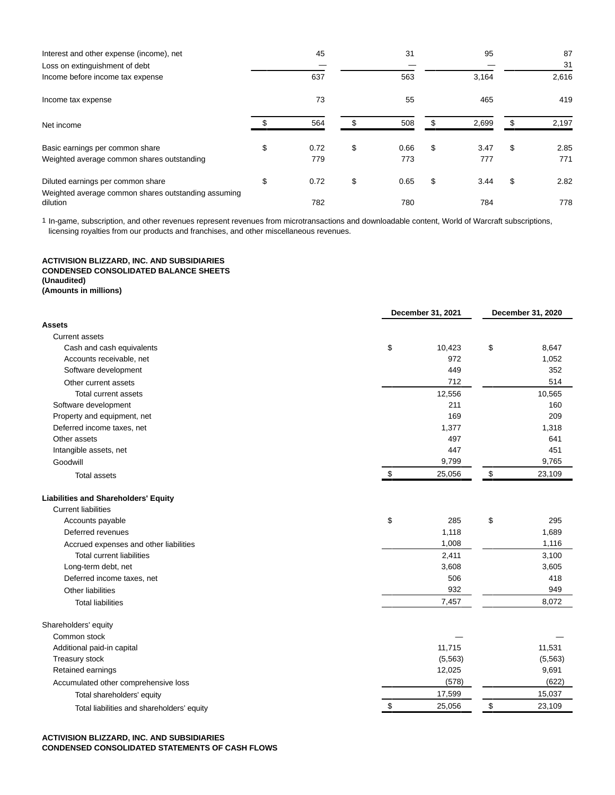| Interest and other expense (income), net<br>Loss on extinguishment of debt    | 45                | 31                | 95                |     | 87<br>31    |
|-------------------------------------------------------------------------------|-------------------|-------------------|-------------------|-----|-------------|
| Income before income tax expense                                              | 637               | 563               | 3,164             |     | 2,616       |
| Income tax expense                                                            | 73                | 55                | 465               |     | 419         |
| Net income                                                                    | 564               | \$<br>508         | 2,699             | \$. | 2,197       |
| Basic earnings per common share<br>Weighted average common shares outstanding | \$<br>0.72<br>779 | \$<br>0.66<br>773 | \$<br>3.47<br>777 | \$  | 2.85<br>771 |
| Diluted earnings per common share                                             | \$<br>0.72        | \$<br>0.65        | \$<br>3.44        | \$  | 2.82        |
| Weighted average common shares outstanding assuming<br>dilution               | 782               | 780               | 784               |     | 778         |

1 In-game, subscription, and other revenues represent revenues from microtransactions and downloadable content, World of Warcraft subscriptions, licensing royalties from our products and franchises, and other miscellaneous revenues.

# **ACTIVISION BLIZZARD, INC. AND SUBSIDIARIES CONDENSED CONSOLIDATED BALANCE SHEETS (Unaudited) (Amounts in millions)**

|                                             | December 31, 2021 | December 31, 2020    |          |  |  |
|---------------------------------------------|-------------------|----------------------|----------|--|--|
| Assets                                      |                   |                      |          |  |  |
| <b>Current assets</b>                       |                   |                      |          |  |  |
| Cash and cash equivalents                   | \$<br>10,423      | \$                   | 8,647    |  |  |
| Accounts receivable, net                    | 972               |                      | 1,052    |  |  |
| Software development                        | 449               |                      | 352      |  |  |
| Other current assets                        | 712               |                      | 514      |  |  |
| Total current assets                        | 12,556            |                      | 10,565   |  |  |
| Software development                        | 211               |                      | 160      |  |  |
| Property and equipment, net                 | 169               |                      | 209      |  |  |
| Deferred income taxes, net                  | 1,377             |                      | 1,318    |  |  |
| Other assets                                | 497               |                      | 641      |  |  |
| Intangible assets, net                      | 447               |                      | 451      |  |  |
| Goodwill                                    | 9,799             |                      | 9,765    |  |  |
| <b>Total assets</b>                         | \$<br>25,056      | $\pmb{\mathfrak{P}}$ | 23,109   |  |  |
| <b>Liabilities and Shareholders' Equity</b> |                   |                      |          |  |  |
| <b>Current liabilities</b>                  |                   |                      |          |  |  |
| Accounts payable                            | \$<br>285         | \$                   | 295      |  |  |
| Deferred revenues                           | 1,118             |                      | 1,689    |  |  |
| Accrued expenses and other liabilities      | 1,008             |                      | 1,116    |  |  |
| <b>Total current liabilities</b>            | 2,411             |                      | 3,100    |  |  |
| Long-term debt, net                         | 3,608             |                      | 3,605    |  |  |
| Deferred income taxes, net                  | 506               |                      | 418      |  |  |
| Other liabilities                           | 932               |                      | 949      |  |  |
| <b>Total liabilities</b>                    | 7,457             |                      | 8,072    |  |  |
| Shareholders' equity                        |                   |                      |          |  |  |
| Common stock                                |                   |                      |          |  |  |
| Additional paid-in capital                  | 11,715            |                      | 11,531   |  |  |
| Treasury stock                              | (5, 563)          |                      | (5, 563) |  |  |
| Retained earnings                           | 12,025            |                      | 9,691    |  |  |
| Accumulated other comprehensive loss        | (578)             |                      | (622)    |  |  |
| Total shareholders' equity                  | 17,599            |                      | 15,037   |  |  |
| Total liabilities and shareholders' equity  | \$<br>25,056      | \$                   | 23,109   |  |  |

# **ACTIVISION BLIZZARD, INC. AND SUBSIDIARIES CONDENSED CONSOLIDATED STATEMENTS OF CASH FLOWS**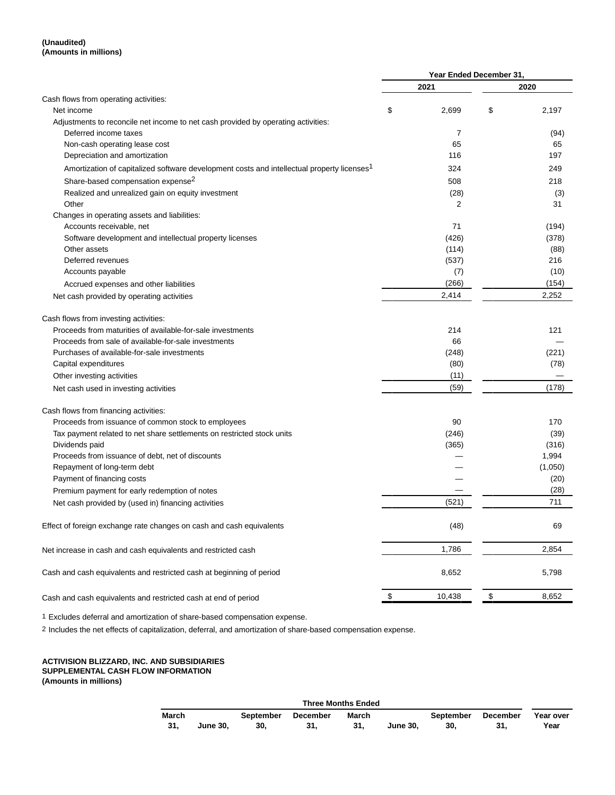|                                                                                                        | Year Ended December 31, |             |
|--------------------------------------------------------------------------------------------------------|-------------------------|-------------|
|                                                                                                        | 2021                    | 2020        |
| Cash flows from operating activities:                                                                  |                         |             |
| Net income                                                                                             | \$<br>2,699             | \$<br>2,197 |
| Adjustments to reconcile net income to net cash provided by operating activities:                      |                         |             |
| Deferred income taxes                                                                                  | 7                       | (94)        |
| Non-cash operating lease cost                                                                          | 65                      | 65          |
| Depreciation and amortization                                                                          | 116                     | 197         |
| Amortization of capitalized software development costs and intellectual property licenses <sup>1</sup> | 324                     | 249         |
| Share-based compensation expense <sup>2</sup>                                                          | 508                     | 218         |
| Realized and unrealized gain on equity investment                                                      | (28)                    | (3)         |
| Other                                                                                                  | 2                       | 31          |
| Changes in operating assets and liabilities:                                                           |                         |             |
| Accounts receivable, net                                                                               | 71                      | (194)       |
| Software development and intellectual property licenses                                                | (426)                   | (378)       |
| Other assets                                                                                           | (114)                   | (88)        |
| Deferred revenues                                                                                      | (537)                   | 216         |
| Accounts payable                                                                                       | (7)                     | (10)        |
| Accrued expenses and other liabilities                                                                 | (266)                   | (154)       |
| Net cash provided by operating activities                                                              | 2,414                   | 2,252       |
|                                                                                                        |                         |             |
| Cash flows from investing activities:                                                                  |                         |             |
| Proceeds from maturities of available-for-sale investments                                             | 214                     | 121         |
| Proceeds from sale of available-for-sale investments                                                   | 66                      |             |
| Purchases of available-for-sale investments                                                            | (248)                   | (221)       |
| Capital expenditures                                                                                   | (80)                    | (78)        |
| Other investing activities                                                                             | (11)                    |             |
| Net cash used in investing activities                                                                  | (59)                    | (178)       |
| Cash flows from financing activities:                                                                  |                         |             |
| Proceeds from issuance of common stock to employees                                                    | 90                      | 170         |
| Tax payment related to net share settlements on restricted stock units                                 | (246)                   | (39)        |
| Dividends paid                                                                                         | (365)                   | (316)       |
| Proceeds from issuance of debt, net of discounts                                                       |                         | 1,994       |
| Repayment of long-term debt                                                                            |                         | (1,050)     |
| Payment of financing costs                                                                             |                         | (20)        |
| Premium payment for early redemption of notes                                                          |                         | (28)        |
| Net cash provided by (used in) financing activities                                                    | (521)                   | 711         |
|                                                                                                        |                         |             |
| Effect of foreign exchange rate changes on cash and cash equivalents                                   | (48)                    | 69          |
| Net increase in cash and cash equivalents and restricted cash                                          | 1,786                   | 2,854       |
| Cash and cash equivalents and restricted cash at beginning of period                                   | 8,652                   | 5,798       |
|                                                                                                        |                         |             |
| Cash and cash equivalents and restricted cash at end of period                                         | \$<br>10,438            | \$<br>8,652 |

1 Excludes deferral and amortization of share-based compensation expense.

2 Includes the net effects of capitalization, deferral, and amortization of share-based compensation expense.

# **ACTIVISION BLIZZARD, INC. AND SUBSIDIARIES SUPPLEMENTAL CASH FLOW INFORMATION (Amounts in millions)**

|              |                 |                         |                 | <b>Three Months Ended</b> |                 |                  |                   |                          |
|--------------|-----------------|-------------------------|-----------------|---------------------------|-----------------|------------------|-------------------|--------------------------|
| March<br>31. | <b>June 30.</b> | <b>September</b><br>30. | December<br>31. | March<br>31.              | <b>June 30.</b> | September<br>30. | December<br>- 31. | <b>Year over</b><br>Year |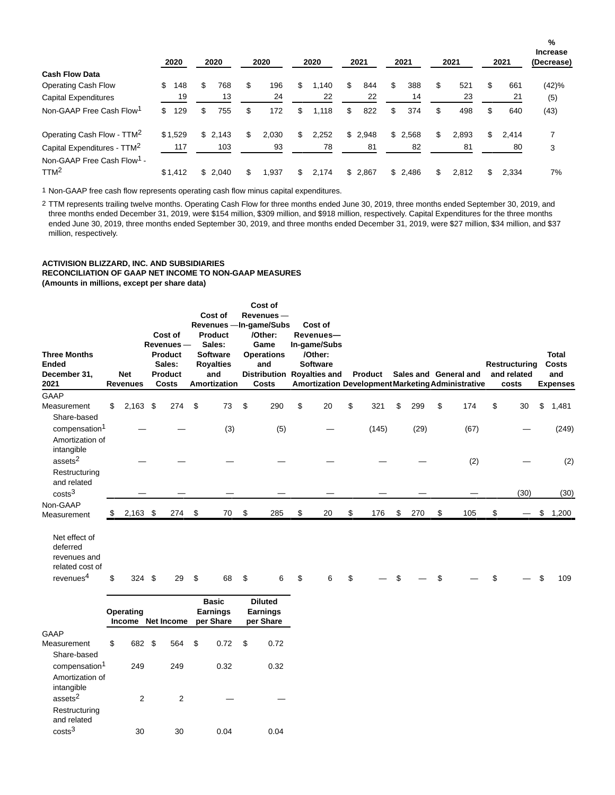|                                                            | 2020 |         |    | 2020    | 2020 |       | 2020 |       |     | 2021    | 2021      | 2021        |    | 2021  | <b>Increase</b><br>(Decrease) |
|------------------------------------------------------------|------|---------|----|---------|------|-------|------|-------|-----|---------|-----------|-------------|----|-------|-------------------------------|
| <b>Cash Flow Data</b>                                      |      |         |    |         |      |       |      |       |     |         |           |             |    |       |                               |
| <b>Operating Cash Flow</b>                                 | \$   | 148     | S  | 768     | S    | 196   | \$   | .140  | S   | 844     | \$<br>388 | \$<br>521   | S  | 661   | (42)%                         |
| <b>Capital Expenditures</b>                                |      | 19      |    | 13      |      | 24    |      | 22    |     | 22      | 14        | 23          |    | 21    | (5)                           |
| Non-GAAP Free Cash Flow <sup>1</sup>                       | \$   | 129     | \$ | 755     | \$   | 172   | \$   | .118  | \$. | 822     | \$<br>374 | \$<br>498   | \$ | 640   | (43)                          |
| Operating Cash Flow - TTM <sup>2</sup>                     |      | \$1,529 |    | \$2,143 | \$   | 2.030 | \$   | 2,252 |     | \$2,948 | \$2,568   | \$<br>2.893 | \$ | 2.414 | 7                             |
| Capital Expenditures - TTM <sup>2</sup>                    |      | 117     |    | 103     |      | 93    |      | 78    |     | 81      | 82        | 81          |    | 80    | 3                             |
| Non-GAAP Free Cash Flow <sup>1</sup> -<br>TTM <sup>2</sup> |      | \$1,412 |    | \$2.040 | \$   | .937  | \$   | 2,174 | \$  | 2,867   | \$2,486   | \$<br>2,812 | \$ | 2.334 | 7%                            |

**%**

1 Non-GAAP free cash flow represents operating cash flow minus capital expenditures.

2 TTM represents trailing twelve months. Operating Cash Flow for three months ended June 30, 2019, three months ended September 30, 2019, and three months ended December 31, 2019, were \$154 million, \$309 million, and \$918 million, respectively. Capital Expenditures for the three months ended June 30, 2019, three months ended September 30, 2019, and three months ended December 31, 2019, were \$27 million, \$34 million, and \$37 million, respectively.

# **ACTIVISION BLIZZARD, INC. AND SUBSIDIARIES RECONCILIATION OF GAAP NET INCOME TO NON-GAAP MEASURES (Amounts in millions, except per share data)**

costs3 30 30 0.04 0.04

**Restructuring** and related

| <b>Three Months</b><br><b>Ended</b><br>December 31,<br>2021                           | <b>Net</b><br><b>Revenues</b> | Cost of<br>Revenues-<br>Product<br>Sales:<br>Product<br>Costs | Cost of<br><b>Product</b><br>Sales:<br><b>Software</b><br><b>Royalties</b><br>and<br><b>Amortization</b> | Cost of<br>Revenues-<br>Revenues - In-game/Subs<br>/Other:<br>Game<br><b>Operations</b><br>and<br>Distribution Royalties and<br>Costs | Cost of<br>Revenues-<br>In-game/Subs<br>/Other:<br><b>Software</b><br>Amortization Development Marketing Administrative | <b>Product</b> Sales and General and |           |           | Restructuring<br>and related<br>costs | Total<br><b>Costs</b><br>and<br><b>Expenses</b> |
|---------------------------------------------------------------------------------------|-------------------------------|---------------------------------------------------------------|----------------------------------------------------------------------------------------------------------|---------------------------------------------------------------------------------------------------------------------------------------|-------------------------------------------------------------------------------------------------------------------------|--------------------------------------|-----------|-----------|---------------------------------------|-------------------------------------------------|
| GAAP                                                                                  |                               |                                                               |                                                                                                          |                                                                                                                                       |                                                                                                                         |                                      |           |           |                                       |                                                 |
| Measurement                                                                           | \$<br>$2,163$ \$              | 274                                                           | \$<br>73                                                                                                 | \$<br>290                                                                                                                             | \$<br>20                                                                                                                | \$<br>321                            | \$<br>299 | \$<br>174 | \$<br>30                              | \$<br>1,481                                     |
| Share-based<br>compensation <sup>1</sup><br>Amortization of                           |                               |                                                               | (3)                                                                                                      | (5)                                                                                                                                   |                                                                                                                         | (145)                                | (29)      | (67)      |                                       | (249)                                           |
| intangible<br>ases <sup>2</sup><br>Restructuring                                      |                               |                                                               |                                                                                                          |                                                                                                                                       |                                                                                                                         |                                      |           | (2)       |                                       | (2)                                             |
| and related<br>costs <sup>3</sup>                                                     |                               |                                                               |                                                                                                          |                                                                                                                                       |                                                                                                                         |                                      |           |           | (30)                                  | (30)                                            |
| Non-GAAP<br>Measurement                                                               | $2,163$ \$                    | 274 \$                                                        | 70                                                                                                       | \$<br>285                                                                                                                             | \$<br>20                                                                                                                | \$<br>176                            | \$<br>270 | \$<br>105 | \$                                    | \$<br>1,200                                     |
| Net effect of<br>deferred<br>revenues and<br>related cost of<br>revenues <sup>4</sup> | \$<br>324 \$                  | 29                                                            | \$<br>68                                                                                                 | \$<br>6                                                                                                                               | \$<br>6                                                                                                                 | \$                                   |           | \$        | \$                                    | \$<br>109                                       |
|                                                                                       | Operating                     | Income Net Income                                             | <b>Basic</b><br><b>Earnings</b><br>per Share                                                             | <b>Diluted</b><br><b>Earnings</b><br>per Share                                                                                        |                                                                                                                         |                                      |           |           |                                       |                                                 |
| GAAP                                                                                  |                               |                                                               |                                                                                                          |                                                                                                                                       |                                                                                                                         |                                      |           |           |                                       |                                                 |
| Measurement<br>Share-based                                                            | \$<br>682 \$                  | 564                                                           | \$<br>0.72                                                                                               | \$<br>0.72                                                                                                                            |                                                                                                                         |                                      |           |           |                                       |                                                 |
| compensation <sup>1</sup><br>Amortization of<br>intangible                            | 249                           | 249                                                           | 0.32                                                                                                     | 0.32                                                                                                                                  |                                                                                                                         |                                      |           |           |                                       |                                                 |
| ases <sup>2</sup>                                                                     | 2                             | 2                                                             |                                                                                                          |                                                                                                                                       |                                                                                                                         |                                      |           |           |                                       |                                                 |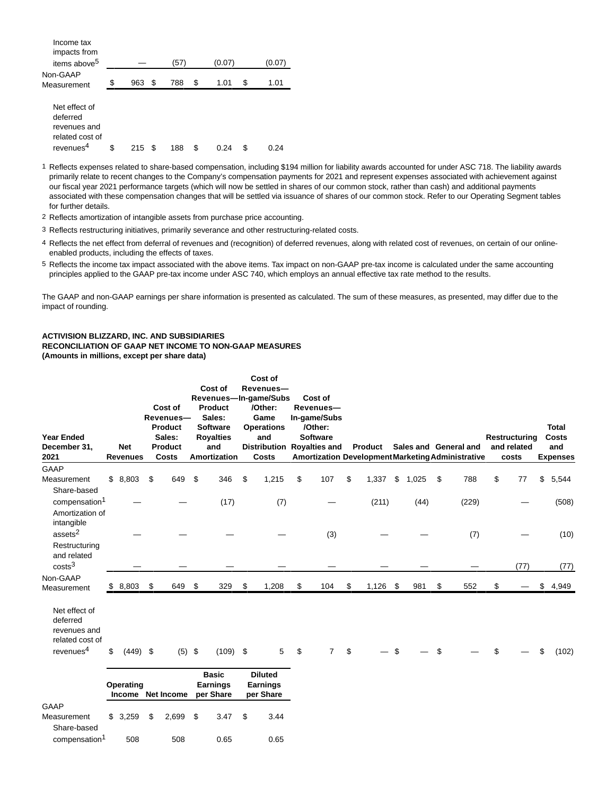| Income tax<br>impacts from<br>items above <sup>5</sup>                                |    |     |    | (57) |    | (0.07) |   | (0.07) |
|---------------------------------------------------------------------------------------|----|-----|----|------|----|--------|---|--------|
| Non-GAAP<br>Measurement                                                               | ደ  | 963 | \$ | 788  | \$ | 1.01   | S | 1.01   |
| Net effect of<br>deferred<br>revenues and<br>related cost of<br>revenues <sup>4</sup> | \$ | 215 | S  | 188  | S  | 0.24   | S | 0.24   |

1 Reflects expenses related to share-based compensation, including \$194 million for liability awards accounted for under ASC 718. The liability awards primarily relate to recent changes to the Company's compensation payments for 2021 and represent expenses associated with achievement against our fiscal year 2021 performance targets (which will now be settled in shares of our common stock, rather than cash) and additional payments associated with these compensation changes that will be settled via issuance of shares of our common stock. Refer to our Operating Segment tables for further details.

2 Reflects amortization of intangible assets from purchase price accounting.

3 Reflects restructuring initiatives, primarily severance and other restructuring-related costs.

- 4 Reflects the net effect from deferral of revenues and (recognition) of deferred revenues, along with related cost of revenues, on certain of our onlineenabled products, including the effects of taxes.
- 5 Reflects the income tax impact associated with the above items. Tax impact on non-GAAP pre-tax income is calculated under the same accounting principles applied to the GAAP pre-tax income under ASC 740, which employs an annual effective tax rate method to the results.

The GAAP and non-GAAP earnings per share information is presented as calculated. The sum of these measures, as presented, may differ due to the impact of rounding.

**ACTIVISION BLIZZARD, INC. AND SUBSIDIARIES RECONCILIATION OF GAAP NET INCOME TO NON-GAAP MEASURES (Amounts in millions, except per share data)**

| <b>Year Ended</b><br>December 31,                                                     | <b>Net</b>      | Cost of<br>Revenues-<br>Product<br>Sales:<br>Product |          | Cost of<br>Product<br>Sales:<br><b>Software</b><br><b>Royalties</b><br>and | Cost of<br>Revenues-<br>Revenues-In-game/Subs<br>/Other:<br>Game<br><b>Operations</b><br>and<br>Distribution Royalties and | Cost of<br>Revenues-<br>In-game/Subs<br>/Other:<br><b>Software</b> | Product     |      |       | Sales and General and                             | Restructuring<br>and related | <b>Total</b><br>Costs<br>and |
|---------------------------------------------------------------------------------------|-----------------|------------------------------------------------------|----------|----------------------------------------------------------------------------|----------------------------------------------------------------------------------------------------------------------------|--------------------------------------------------------------------|-------------|------|-------|---------------------------------------------------|------------------------------|------------------------------|
| 2021                                                                                  | <b>Revenues</b> | <b>Costs</b>                                         |          | Amortization                                                               | <b>Costs</b>                                                                                                               |                                                                    |             |      |       | Amortization Development Marketing Administrative | costs                        | <b>Expenses</b>              |
| GAAP                                                                                  |                 |                                                      |          |                                                                            |                                                                                                                            |                                                                    |             |      |       |                                                   |                              |                              |
| Measurement                                                                           | \$8,803         | \$<br>649                                            | \$       | 346                                                                        | \$<br>1,215                                                                                                                | \$<br>107                                                          | \$<br>1,337 | \$   | 1,025 | \$<br>788                                         | \$<br>77                     | \$<br>5,544                  |
| Share-based<br>compensation <sup>1</sup><br>Amortization of                           |                 |                                                      |          | (17)                                                                       | (7)                                                                                                                        |                                                                    | (211)       |      | (44)  | (229)                                             |                              | (508)                        |
| intangible<br>assets <sup>2</sup><br>Restructuring<br>and related                     |                 |                                                      |          |                                                                            |                                                                                                                            | (3)                                                                |             |      |       | (7)                                               |                              | (10)                         |
| costs <sup>3</sup>                                                                    |                 |                                                      |          |                                                                            |                                                                                                                            |                                                                    |             |      |       |                                                   | (77)                         | (77)                         |
| Non-GAAP<br>Measurement                                                               | \$<br>8,803     | \$<br>649                                            | - \$     | 329                                                                        | \$<br>1,208                                                                                                                | \$<br>104                                                          | \$<br>1,126 | - \$ | 981   | \$<br>552                                         | \$                           | \$<br>4,949                  |
| Net effect of<br>deferred<br>revenues and<br>related cost of<br>revenues <sup>4</sup> | \$<br>(449)     | \$                                                   | $(5)$ \$ | $(109)$ \$                                                                 | 5                                                                                                                          | \$<br>$\overline{7}$                                               | \$          | \$   |       | \$                                                | \$                           | \$<br>(102)                  |
|                                                                                       | Operating       | Income Net Income                                    |          | <b>Basic</b><br><b>Earnings</b><br>per Share                               | <b>Diluted</b><br><b>Earnings</b><br>per Share                                                                             |                                                                    |             |      |       |                                                   |                              |                              |
| GAAP                                                                                  |                 |                                                      |          |                                                                            |                                                                                                                            |                                                                    |             |      |       |                                                   |                              |                              |
| Measurement                                                                           | \$3,259         | \$<br>2,699                                          | \$       | 3.47                                                                       | \$<br>3.44                                                                                                                 |                                                                    |             |      |       |                                                   |                              |                              |
| Share-based                                                                           |                 |                                                      |          |                                                                            |                                                                                                                            |                                                                    |             |      |       |                                                   |                              |                              |
| compensation <sup>1</sup>                                                             | 508             | 508                                                  |          | 0.65                                                                       | 0.65                                                                                                                       |                                                                    |             |      |       |                                                   |                              |                              |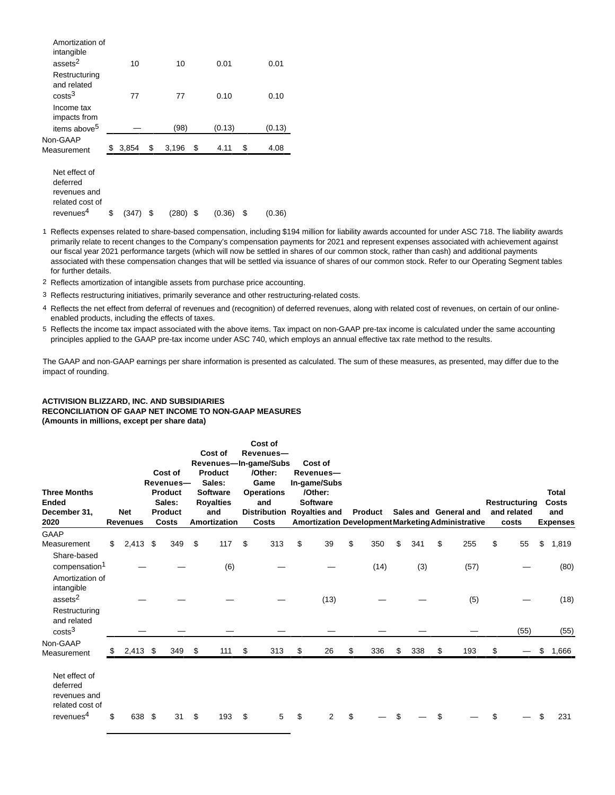| Amortization of<br>intangible<br>assets <sup>2</sup>         | 10    | 10          | 0.01       | 0.01       |
|--------------------------------------------------------------|-------|-------------|------------|------------|
| Restructuring<br>and related<br>$\csc 3$                     | 77    | 77          | 0.10       | 0.10       |
| Income tax<br>impacts from<br>items above <sup>5</sup>       |       | (98)        | (0.13)     | (0.13)     |
| Non-GAAP<br>Measurement                                      | 3,854 | \$<br>3,196 | \$<br>4.11 | \$<br>4.08 |
| Net effect of<br>deferred<br>revenues and<br>related cost of |       |             |            |            |

- 1 Reflects expenses related to share-based compensation, including \$194 million for liability awards accounted for under ASC 718. The liability awards primarily relate to recent changes to the Company's compensation payments for 2021 and represent expenses associated with achievement against our fiscal year 2021 performance targets (which will now be settled in shares of our common stock, rather than cash) and additional payments associated with these compensation changes that will be settled via issuance of shares of our common stock. Refer to our Operating Segment tables for further details.
- 2 Reflects amortization of intangible assets from purchase price accounting.

revenues4 \$ (347) \$ (280) \$ (0.36) \$ (0.36)

- 3 Reflects restructuring initiatives, primarily severance and other restructuring-related costs.
- 4 Reflects the net effect from deferral of revenues and (recognition) of deferred revenues, along with related cost of revenues, on certain of our onlineenabled products, including the effects of taxes.
- 5 Reflects the income tax impact associated with the above items. Tax impact on non-GAAP pre-tax income is calculated under the same accounting principles applied to the GAAP pre-tax income under ASC 740, which employs an annual effective tax rate method to the results.

The GAAP and non-GAAP earnings per share information is presented as calculated. The sum of these measures, as presented, may differ due to the impact of rounding.

#### **ACTIVISION BLIZZARD, INC. AND SUBSIDIARIES RECONCILIATION OF GAAP NET INCOME TO NON-GAAP MEASURES (Amounts in millions, except per share data)**

| <b>Three Months</b><br><b>Ended</b><br>December 31,<br>2020                          | <b>Net</b><br><b>Revenues</b> | Cost of<br>Revenues-<br><b>Product</b><br>Sales:<br><b>Product</b><br><b>Costs</b> | Cost of<br>Revenues-In-game/Subs<br>Product<br>Sales:<br><b>Software</b><br><b>Royalties</b><br>and<br><b>Amortization</b> | Cost of<br>Revenues-<br>/Other:<br>Game<br><b>Operations</b><br>and<br>Distribution Royalties and<br><b>Costs</b> | Cost of<br>Revenues-<br>In-game/Subs<br>/Other:<br><b>Software</b> | <b>Product</b> |           | Sales and General and<br>Amortization Development Marketing Administrative | Restructuring<br>and related<br>costs | <b>Total</b><br><b>Costs</b><br>and<br><b>Expenses</b> |
|--------------------------------------------------------------------------------------|-------------------------------|------------------------------------------------------------------------------------|----------------------------------------------------------------------------------------------------------------------------|-------------------------------------------------------------------------------------------------------------------|--------------------------------------------------------------------|----------------|-----------|----------------------------------------------------------------------------|---------------------------------------|--------------------------------------------------------|
| GAAP<br>Measurement                                                                  | \$<br>2,413                   | \$<br>349                                                                          | \$<br>117                                                                                                                  | \$<br>313                                                                                                         | \$<br>39                                                           | \$<br>350      | \$<br>341 | \$<br>255                                                                  | \$<br>55                              |                                                        |
| Share-based                                                                          |                               |                                                                                    |                                                                                                                            |                                                                                                                   |                                                                    |                |           |                                                                            |                                       | \$<br>1,819                                            |
| compensation <sup>1</sup>                                                            |                               |                                                                                    | (6)                                                                                                                        |                                                                                                                   |                                                                    | (14)           | (3)       | (57)                                                                       |                                       | (80)                                                   |
| Amortization of<br>intangible<br>assets <sup>2</sup><br>Restructuring<br>and related |                               |                                                                                    |                                                                                                                            |                                                                                                                   | (13)                                                               |                |           | (5)                                                                        |                                       | (18)                                                   |
| costs <sup>3</sup>                                                                   |                               |                                                                                    |                                                                                                                            |                                                                                                                   |                                                                    |                |           |                                                                            | (55)                                  | (55)                                                   |
| Non-GAAP<br>Measurement                                                              | 2,413 \$                      | 349                                                                                | \$<br>111                                                                                                                  | \$<br>313                                                                                                         | \$<br>26                                                           | \$<br>336      | \$<br>338 | \$<br>193                                                                  | \$                                    | \$1,666                                                |
| Net effect of<br>deferred<br>revenues and<br>related cost of<br>$re$ venues $4$      | \$<br>638 \$                  | 31                                                                                 | \$<br>193                                                                                                                  | \$<br>5                                                                                                           | \$<br>2                                                            | \$             |           |                                                                            | \$                                    | \$<br>231                                              |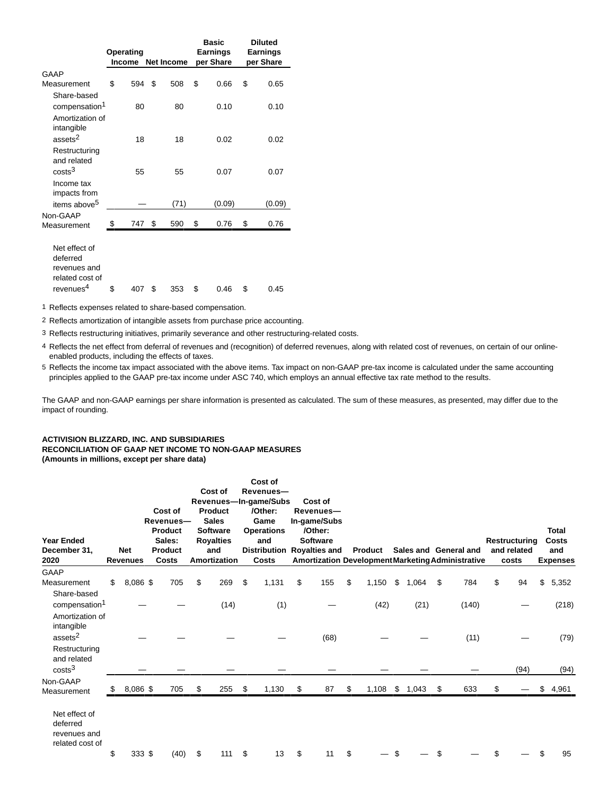|                                                                                       | Operating<br>Income | Net Income | <b>Basic</b><br><b>Earnings</b><br>per Share | <b>Diluted</b><br><b>Earnings</b><br>per Share |
|---------------------------------------------------------------------------------------|---------------------|------------|----------------------------------------------|------------------------------------------------|
| GAAP                                                                                  |                     |            |                                              |                                                |
| Measurement                                                                           | \$<br>594           | \$<br>508  | \$<br>0.66                                   | \$<br>0.65                                     |
| Share-based                                                                           |                     |            |                                              |                                                |
| compensation <sup>1</sup>                                                             | 80                  | 80         | 0.10                                         | 0.10                                           |
| Amortization of<br>intangible                                                         |                     |            |                                              |                                                |
| assets <sup>2</sup>                                                                   | 18                  | 18         | 0.02                                         | 0.02                                           |
| Restructuring<br>and related                                                          |                     |            |                                              |                                                |
| costs <sup>3</sup>                                                                    | 55                  | 55         | 0.07                                         | 0.07                                           |
| Income tax<br>impacts from                                                            |                     |            |                                              |                                                |
| items above <sup>5</sup>                                                              |                     | (71)       | (0.09)                                       | (0.09)                                         |
| Non-GAAP                                                                              |                     |            |                                              |                                                |
| Measurement                                                                           | \$<br>747           | \$<br>590  | \$<br>0.76                                   | \$<br>0.76                                     |
| Net effect of<br>deferred<br>revenues and<br>related cost of<br>revenues <sup>4</sup> | \$<br>407           | \$<br>353  | \$<br>0.46                                   | \$<br>0.45                                     |

1 Reflects expenses related to share-based compensation.

2 Reflects amortization of intangible assets from purchase price accounting.

3 Reflects restructuring initiatives, primarily severance and other restructuring-related costs.

4 Reflects the net effect from deferral of revenues and (recognition) of deferred revenues, along with related cost of revenues, on certain of our onlineenabled products, including the effects of taxes.

5 Reflects the income tax impact associated with the above items. Tax impact on non-GAAP pre-tax income is calculated under the same accounting principles applied to the GAAP pre-tax income under ASC 740, which employs an annual effective tax rate method to the results.

The GAAP and non-GAAP earnings per share information is presented as calculated. The sum of these measures, as presented, may differ due to the impact of rounding.

# **ACTIVISION BLIZZARD, INC. AND SUBSIDIARIES RECONCILIATION OF GAAP NET INCOME TO NON-GAAP MEASURES (Amounts in millions, except per share data)**

| <b>Year Ended</b><br>December 31,<br>2020                                 | <b>Net</b><br><b>Revenues</b> | Cost of<br>Revenues-<br>Product<br>Sales:<br>Product<br>Costs | Cost of<br>Product<br><b>Sales</b><br><b>Software</b><br><b>Royalties</b><br>and<br><b>Amortization</b> |     | Cost of<br>Revenues-<br>Revenues-In-game/Subs<br>/Other:<br>Game<br><b>Operations</b><br>and<br>Distribution Royalties and<br><b>Costs</b> | Cost of<br>Revenues-<br>In-game/Subs<br>/Other:<br><b>Software</b> | Product     |                |     | Sales and General and<br><b>Amortization Development Marketing Administrative</b> | <b>Restructuring</b><br>and related<br>costs | <b>Total</b><br>Costs<br>and<br><b>Expenses</b> |
|---------------------------------------------------------------------------|-------------------------------|---------------------------------------------------------------|---------------------------------------------------------------------------------------------------------|-----|--------------------------------------------------------------------------------------------------------------------------------------------|--------------------------------------------------------------------|-------------|----------------|-----|-----------------------------------------------------------------------------------|----------------------------------------------|-------------------------------------------------|
| GAAP                                                                      |                               |                                                               |                                                                                                         |     |                                                                                                                                            |                                                                    |             |                |     |                                                                                   |                                              |                                                 |
| Measurement                                                               | \$<br>8,086 \$                | 705                                                           | \$<br>269                                                                                               | -\$ | 1,131                                                                                                                                      | \$<br>155                                                          | \$<br>1,150 | \$<br>1,064    | \$  | 784                                                                               | \$<br>94                                     | \$<br>5,352                                     |
| Share-based<br>compensation <sup>1</sup><br>Amortization of<br>intangible |                               |                                                               | (14)                                                                                                    |     | (1)                                                                                                                                        |                                                                    | (42)        | (21)           |     | (140)                                                                             |                                              | (218)                                           |
| assets <sup>2</sup>                                                       |                               |                                                               |                                                                                                         |     |                                                                                                                                            | (68)                                                               |             |                |     | (11)                                                                              |                                              | (79)                                            |
| Restructuring<br>and related<br>costs <sup>3</sup>                        |                               |                                                               |                                                                                                         |     |                                                                                                                                            |                                                                    |             |                |     |                                                                                   | (94)                                         | (94)                                            |
| Non-GAAP<br>Measurement                                                   | \$<br>8,086 \$                | 705                                                           | \$<br>255                                                                                               | -\$ | 1,130                                                                                                                                      | \$<br>87                                                           | \$          | 1,108 \$ 1,043 | -\$ | 633                                                                               | \$                                           | \$<br>4,961                                     |
| Net effect of<br>deferred<br>revenues and<br>related cost of              | \$<br>333 \$                  | (40)                                                          | \$<br>111                                                                                               | \$  | 13                                                                                                                                         | \$<br>11                                                           | \$          | \$             | \$  |                                                                                   |                                              | 95                                              |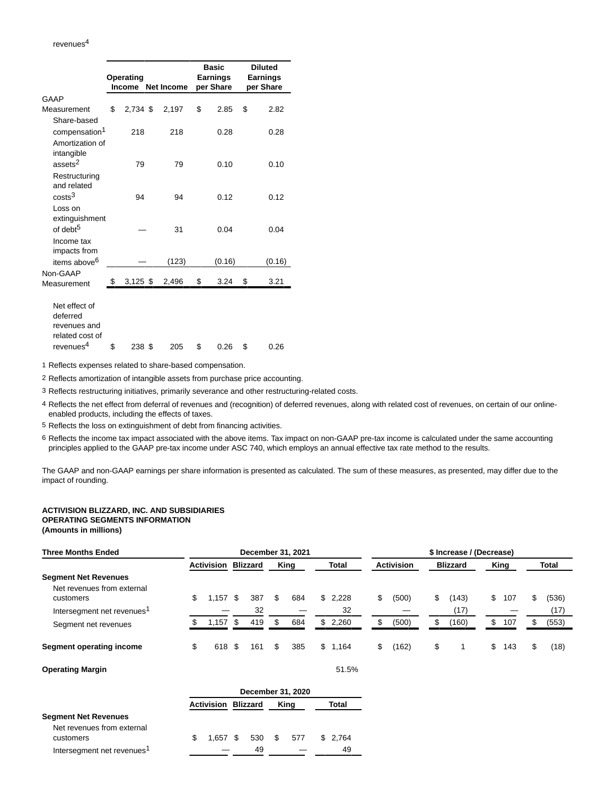# revenues<sup>4</sup>

|                                                              | Operating<br>Income | <b>Net Income</b> | <b>Basic</b><br><b>Earnings</b><br>per Share | <b>Diluted</b><br><b>Earnings</b><br>per Share |
|--------------------------------------------------------------|---------------------|-------------------|----------------------------------------------|------------------------------------------------|
| GAAP                                                         |                     |                   |                                              |                                                |
| Measurement                                                  | \$<br>$2,734$ \$    | 2,197             | \$<br>2.85                                   | \$<br>2.82                                     |
| Share-based                                                  |                     |                   |                                              |                                                |
| compensation <sup>1</sup>                                    | 218                 | 218               | 0.28                                         | 0.28                                           |
| Amortization of<br>intangible                                |                     |                   |                                              |                                                |
| assets <sup>2</sup>                                          | 79                  | 79                | 0.10                                         | 0.10                                           |
| Restructuring<br>and related                                 |                     |                   |                                              |                                                |
| $\text{costs}^3$                                             | 94                  | 94                | 0.12                                         | 0.12                                           |
| Loss on<br>extinguishment                                    |                     |                   |                                              |                                                |
| of debt <sup>5</sup>                                         |                     | 31                | 0.04                                         | 0.04                                           |
| Income tax<br>impacts from<br>items above <sup>6</sup>       |                     |                   |                                              |                                                |
|                                                              |                     | (123)             | (0.16)                                       | (0.16)                                         |
| Non-GAAP<br>Measurement                                      | \$<br>$3,125$ \$    | 2,496             | \$<br>3.24                                   | \$<br>3.21                                     |
| Net effect of<br>deferred<br>revenues and<br>related cost of |                     |                   |                                              |                                                |

1 Reflects expenses related to share-based compensation.

2 Reflects amortization of intangible assets from purchase price accounting.

revenues4 \$ 238 \$ 205 \$ 0.26 \$ 0.26

3 Reflects restructuring initiatives, primarily severance and other restructuring-related costs.

4 Reflects the net effect from deferral of revenues and (recognition) of deferred revenues, along with related cost of revenues, on certain of our onlineenabled products, including the effects of taxes.

5 Reflects the loss on extinguishment of debt from financing activities.

6 Reflects the income tax impact associated with the above items. Tax impact on non-GAAP pre-tax income is calculated under the same accounting principles applied to the GAAP pre-tax income under ASC 740, which employs an annual effective tax rate method to the results.

The GAAP and non-GAAP earnings per share information is presented as calculated. The sum of these measures, as presented, may differ due to the impact of rounding.

# **ACTIVISION BLIZZARD, INC. AND SUBSIDIARIES OPERATING SEGMENTS INFORMATION (Amounts in millions)**

| <b>Three Months Ended</b>               |    | December 31, 2021 |    |                 |    |      |       |         |                   | \$ Increase / (Decrease) |                 |       |      |     |       |       |  |  |
|-----------------------------------------|----|-------------------|----|-----------------|----|------|-------|---------|-------------------|--------------------------|-----------------|-------|------|-----|-------|-------|--|--|
|                                         |    | <b>Activision</b> |    | <b>Blizzard</b> |    | King | Total |         | <b>Activision</b> |                          | <b>Blizzard</b> |       | King |     | Total |       |  |  |
| <b>Segment Net Revenues</b>             |    |                   |    |                 |    |      |       |         |                   |                          |                 |       |      |     |       |       |  |  |
| Net revenues from external<br>customers | S  | 1.157             | S  | 387             | \$ | 684  |       | \$2.228 | \$                | (500)                    | S               | (143) | \$   | 107 | S     | (536) |  |  |
| Intersegment net revenues <sup>1</sup>  |    |                   |    | 32              |    |      |       | 32      |                   |                          |                 | (17)  |      |     |       | (17)  |  |  |
| Segment net revenues                    |    | 1,157             | \$ | 419             | \$ | 684  |       | \$2.260 | £.                | (500)                    |                 | (160) | \$   | 107 | S     | (553) |  |  |
| Segment operating income                | \$ | 618 \$            |    | 161             | \$ | 385  |       | \$1.164 | \$                | (162)                    | \$              |       | \$   | 143 | S     | (18)  |  |  |

# **Operating Margin** 51.5%

|                                         |                            |       |                     | December 31, 2020 |         |  |
|-----------------------------------------|----------------------------|-------|---------------------|-------------------|---------|--|
|                                         | <b>Activision Blizzard</b> | Total |                     |                   |         |  |
| Segment Net Revenues                    |                            |       |                     |                   |         |  |
| Net revenues from external<br>customers |                            |       | 1.657 \$ 530 \$ 577 |                   | \$2.764 |  |
| Intersegment net revenues <sup>1</sup>  |                            |       | 49                  |                   | 49      |  |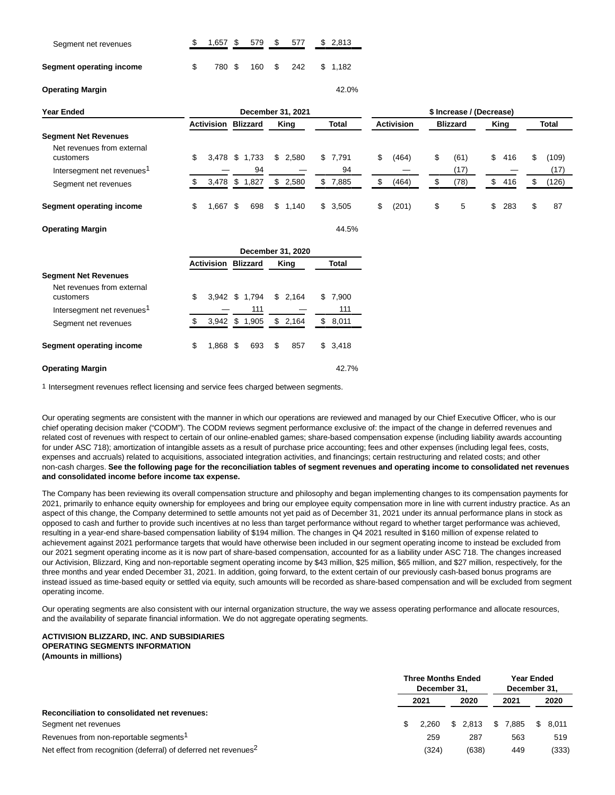| Segment net revenues     |   | 1.657  | \$<br>579 | \$<br>577  | \$2.813  |
|--------------------------|---|--------|-----------|------------|----------|
| Segment operating income | S | 780 \$ |           | 160 \$ 242 | \$ 1.182 |
| <b>Operating Margin</b>  |   |        |           |            | 42.0%    |

| Year Ended                              |                   |                 | December 31, 2021 |             | \$ Increase / (Decrease) |                 |      |           |              |  |  |  |  |
|-----------------------------------------|-------------------|-----------------|-------------------|-------------|--------------------------|-----------------|------|-----------|--------------|--|--|--|--|
|                                         | <b>Activision</b> | <b>Blizzard</b> | King              | Total       | <b>Activision</b>        | <b>Blizzard</b> |      | King      | <b>Total</b> |  |  |  |  |
| <b>Segment Net Revenues</b>             |                   |                 |                   |             |                          |                 |      |           |              |  |  |  |  |
| Net revenues from external<br>customers | \$                | 3,478 \$ 1,733  | \$2,580           | \$7,791     | (464)<br>S               | S               | (61) | \$<br>416 | (109)        |  |  |  |  |
| Intersegment net revenues <sup>1</sup>  |                   | 94              |                   | 94          |                          |                 | (17) |           | (17)         |  |  |  |  |
| Segment net revenues                    | 3,478             | 1,827<br>\$     | \$<br>2,580       | 7,885<br>\$ | (464)                    |                 | (78) | \$<br>416 | (126)        |  |  |  |  |
| Segment operating income                | \$<br>.667        | 698<br>- \$     | \$<br>1.140       | \$3,505     | (201)<br>\$              | \$              | 5    | \$<br>283 | 87           |  |  |  |  |

# **Operating Margin** 44.5%

|                                         | December 31, 2020 |                            |      |                |    |         |    |         |  |  |  |
|-----------------------------------------|-------------------|----------------------------|------|----------------|----|---------|----|---------|--|--|--|
|                                         |                   | <b>Activision Blizzard</b> |      |                |    | King    |    | Total   |  |  |  |
| <b>Segment Net Revenues</b>             |                   |                            |      |                |    |         |    |         |  |  |  |
| Net revenues from external<br>customers | \$                |                            |      | 3,942 \$ 1,794 |    | \$2,164 | \$ | 7,900   |  |  |  |
| Intersegment net revenues <sup>1</sup>  |                   |                            |      | 111            |    |         |    | 111     |  |  |  |
| Segment net revenues                    |                   | 3,942                      |      | \$1,905        |    | \$2,164 | \$ | 8,011   |  |  |  |
| Segment operating income                | \$                | 1.868                      | - \$ | 693            | \$ | 857     |    | \$3.418 |  |  |  |
| <b>Operating Margin</b>                 |                   |                            |      |                |    |         |    | 42.7%   |  |  |  |

1 Intersegment revenues reflect licensing and service fees charged between segments.

Our operating segments are consistent with the manner in which our operations are reviewed and managed by our Chief Executive Officer, who is our chief operating decision maker ("CODM"). The CODM reviews segment performance exclusive of: the impact of the change in deferred revenues and related cost of revenues with respect to certain of our online-enabled games; share-based compensation expense (including liability awards accounting for under ASC 718); amortization of intangible assets as a result of purchase price accounting; fees and other expenses (including legal fees, costs, expenses and accruals) related to acquisitions, associated integration activities, and financings; certain restructuring and related costs; and other non-cash charges. **See the following page for the reconciliation tables of segment revenues and operating income to consolidated net revenues and consolidated income before income tax expense.**

The Company has been reviewing its overall compensation structure and philosophy and began implementing changes to its compensation payments for 2021, primarily to enhance equity ownership for employees and bring our employee equity compensation more in line with current industry practice. As an aspect of this change, the Company determined to settle amounts not yet paid as of December 31, 2021 under its annual performance plans in stock as opposed to cash and further to provide such incentives at no less than target performance without regard to whether target performance was achieved, resulting in a year-end share-based compensation liability of \$194 million. The changes in Q4 2021 resulted in \$160 million of expense related to achievement against 2021 performance targets that would have otherwise been included in our segment operating income to instead be excluded from our 2021 segment operating income as it is now part of share-based compensation, accounted for as a liability under ASC 718. The changes increased our Activision, Blizzard, King and non-reportable segment operating income by \$43 million, \$25 million, \$65 million, and \$27 million, respectively, for the three months and year ended December 31, 2021. In addition, going forward, to the extent certain of our previously cash-based bonus programs are instead issued as time-based equity or settled via equity, such amounts will be recorded as share-based compensation and will be excluded from segment operating income.

Our operating segments are also consistent with our internal organization structure, the way we assess operating performance and allocate resources, and the availability of separate financial information. We do not aggregate operating segments.

#### **ACTIVISION BLIZZARD, INC. AND SUBSIDIARIES OPERATING SEGMENTS INFORMATION (Amounts in millions)**

|                                                                              |       | <b>Three Months Ended</b><br>December 31. |       |                   |  | <b>Year Ended</b><br>December 31. |  |         |  |
|------------------------------------------------------------------------------|-------|-------------------------------------------|-------|-------------------|--|-----------------------------------|--|---------|--|
|                                                                              |       | 2021<br>2020                              |       |                   |  | 2021                              |  | 2020    |  |
| <b>Reconciliation to consolidated net revenues:</b>                          |       |                                           |       |                   |  |                                   |  |         |  |
| Segment net revenues                                                         | \$.   | 2.260                                     |       | \$ 2.813 \$ 7.885 |  |                                   |  | \$8.011 |  |
| Revenues from non-reportable segments <sup>1</sup>                           |       | 259                                       |       | 287               |  | 563                               |  | 519     |  |
| Net effect from recognition (deferral) of deferred net revenues <sup>2</sup> | (324) |                                           | (638) | 449               |  | (333)                             |  |         |  |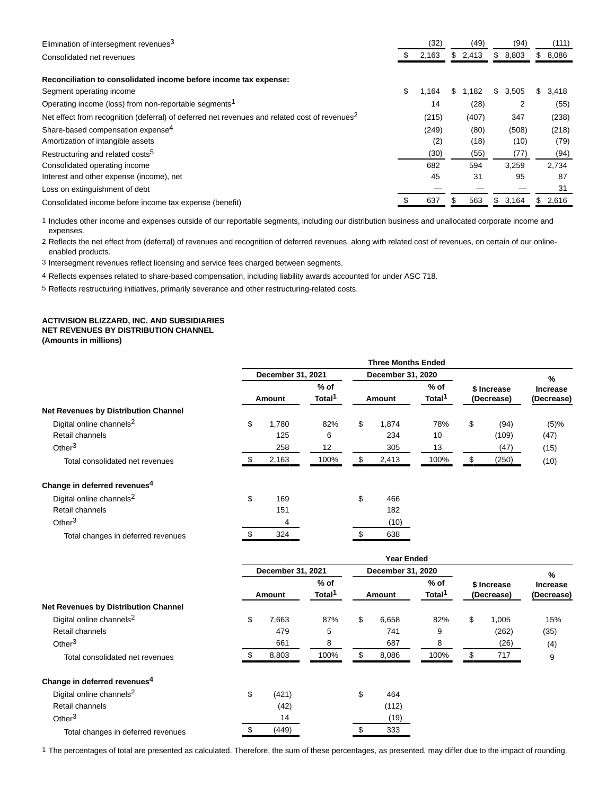| Elimination of intersegment revenues <sup>3</sup>                                                         | (32)        |     | (49)  |    | (94)    | (111)   |
|-----------------------------------------------------------------------------------------------------------|-------------|-----|-------|----|---------|---------|
| Consolidated net revenues                                                                                 | 2,163       | S.  | 2,413 | S. | 8,803   | 8,086   |
| Reconciliation to consolidated income before income tax expense:                                          |             |     |       |    |         |         |
| Segment operating income                                                                                  | \$<br>1.164 | \$. | 1.182 |    | \$3,505 | \$3,418 |
| Operating income (loss) from non-reportable segments <sup>1</sup>                                         | 14          |     | (28)  |    | 2       | (55)    |
| Net effect from recognition (deferral) of deferred net revenues and related cost of revenues <sup>2</sup> | (215)       |     | (407) |    | 347     | (238)   |
| Share-based compensation expense <sup>4</sup>                                                             | (249)       |     | (80)  |    | (508)   | (218)   |
| Amortization of intangible assets                                                                         | (2)         |     | (18)  |    | (10)    | (79)    |
| Restructuring and related costs <sup>5</sup>                                                              | (30)        |     | (55)  |    | (77)    | (94)    |
| Consolidated operating income                                                                             | 682         |     | 594   |    | 3.259   | 2,734   |
| Interest and other expense (income), net                                                                  | 45          |     | 31    |    | 95      | 87      |
| Loss on extinguishment of debt                                                                            |             |     |       |    |         | 31      |
| Consolidated income before income tax expense (benefit)                                                   | 637         |     | 563   | S. | 3,164   | 2,616   |

1 Includes other income and expenses outside of our reportable segments, including our distribution business and unallocated corporate income and expenses.

2 Reflects the net effect from (deferral) of revenues and recognition of deferred revenues, along with related cost of revenues, on certain of our onlineenabled products.

3 Intersegment revenues reflect licensing and service fees charged between segments.

4 Reflects expenses related to share-based compensation, including liability awards accounted for under ASC 718.

5 Reflects restructuring initiatives, primarily severance and other restructuring-related costs.

# **ACTIVISION BLIZZARD, INC. AND SUBSIDIARIES NET REVENUES BY DISTRIBUTION CHANNEL (Amounts in millions)**

|                                             |                   |                              | <b>Three Months Ended</b> |                              |                           |                               |
|---------------------------------------------|-------------------|------------------------------|---------------------------|------------------------------|---------------------------|-------------------------------|
|                                             | December 31, 2021 |                              | December 31, 2020         |                              |                           | $\%$                          |
|                                             | Amount            | $%$ of<br>Total <sup>1</sup> | Amount                    | $%$ of<br>Total <sup>1</sup> | \$ Increase<br>(Decrease) | <b>Increase</b><br>(Decrease) |
| <b>Net Revenues by Distribution Channel</b> |                   |                              |                           |                              |                           |                               |
| Digital online channels <sup>2</sup>        | \$<br>1,780       | 82%                          | \$<br>1,874               | 78%                          | \$<br>(94)                | (5)%                          |
| Retail channels                             | 125               | 6                            | 234                       | 10                           | (109)                     | (47)                          |
| Other $3$                                   | 258               | 12                           | 305                       | 13                           | (47)                      | (15)                          |
| Total consolidated net revenues             | 2,163             | 100%                         | \$<br>2,413               | 100%                         | \$<br>(250)               | (10)                          |
| Change in deferred revenues <sup>4</sup>    |                   |                              |                           |                              |                           |                               |
| Digital online channels <sup>2</sup>        | \$<br>169         |                              | \$<br>466                 |                              |                           |                               |
| Retail channels                             | 151               |                              | 182                       |                              |                           |                               |
| Other $3$                                   | 4                 |                              | (10)                      |                              |                           |                               |
| Total changes in deferred revenues          | 324               |                              | \$<br>638                 |                              |                           |                               |

|                                             |                   |                              | <b>Year Ended</b> |                              |                           |                               |
|---------------------------------------------|-------------------|------------------------------|-------------------|------------------------------|---------------------------|-------------------------------|
|                                             | December 31, 2021 |                              | December 31, 2020 |                              |                           | $\%$                          |
|                                             | Amount            | $%$ of<br>Total <sup>1</sup> | <b>Amount</b>     | $%$ of<br>Total <sup>1</sup> | \$ Increase<br>(Decrease) | <b>Increase</b><br>(Decrease) |
| <b>Net Revenues by Distribution Channel</b> |                   |                              |                   |                              |                           |                               |
| Digital online channels <sup>2</sup>        | \$<br>7,663       | 87%                          | \$<br>6,658       | 82%                          | \$<br>1,005               | 15%                           |
| Retail channels                             | 479               | 5                            | 741               | 9                            | (262)                     | (35)                          |
| Other $3$                                   | 661               | 8                            | 687               | 8                            | (26)                      | (4)                           |
| Total consolidated net revenues             | 8,803             | 100%                         | \$<br>8,086       | 100%                         | \$<br>717                 | 9                             |
| Change in deferred revenues <sup>4</sup>    |                   |                              |                   |                              |                           |                               |
| Digital online channels <sup>2</sup>        | \$<br>(421)       |                              | \$<br>464         |                              |                           |                               |
| Retail channels                             | (42)              |                              | (112)             |                              |                           |                               |
| Other $3$                                   | 14                |                              | (19)              |                              |                           |                               |
| Total changes in deferred revenues          | (449)             |                              | \$<br>333         |                              |                           |                               |

1 The percentages of total are presented as calculated. Therefore, the sum of these percentages, as presented, may differ due to the impact of rounding.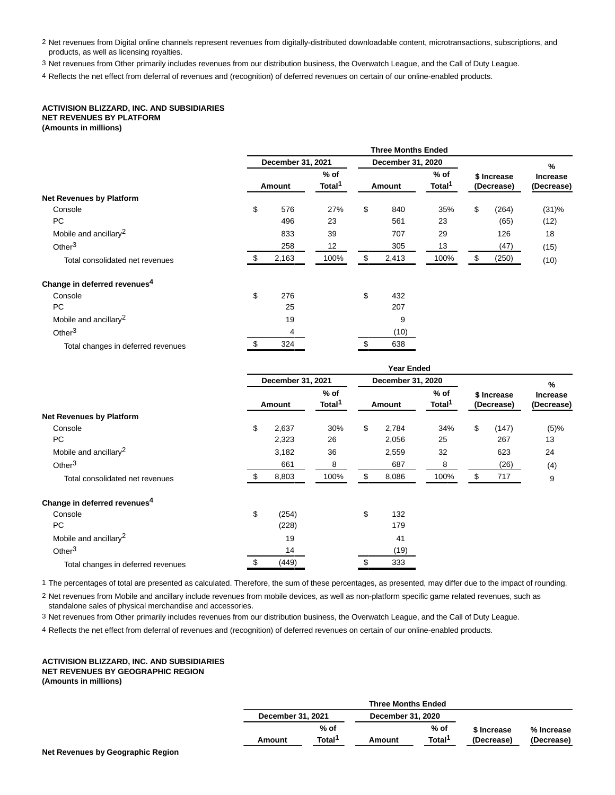- 2 Net revenues from Digital online channels represent revenues from digitally-distributed downloadable content, microtransactions, subscriptions, and products, as well as licensing royalties.
- 3 Net revenues from Other primarily includes revenues from our distribution business, the Overwatch League, and the Call of Duty League.

4 Reflects the net effect from deferral of revenues and (recognition) of deferred revenues on certain of our online-enabled products.

# **ACTIVISION BLIZZARD, INC. AND SUBSIDIARIES NET REVENUES BY PLATFORM (Amounts in millions)**

|                                          | <b>Three Months Ended</b> |                   |                              |        |                   |                              |                           |       |                               |  |
|------------------------------------------|---------------------------|-------------------|------------------------------|--------|-------------------|------------------------------|---------------------------|-------|-------------------------------|--|
|                                          |                           | December 31, 2021 |                              |        | December 31, 2020 |                              |                           |       | $\frac{9}{6}$                 |  |
|                                          | Amount                    |                   | $%$ of<br>Total <sup>1</sup> | Amount |                   | $%$ of<br>Total <sup>1</sup> | \$ Increase<br>(Decrease) |       | <b>Increase</b><br>(Decrease) |  |
| <b>Net Revenues by Platform</b>          |                           |                   |                              |        |                   |                              |                           |       |                               |  |
| Console                                  | \$                        | 576               | 27%                          | \$     | 840               | 35%                          | \$                        | (264) | (31)%                         |  |
| PC                                       |                           | 496               | 23                           |        | 561               | 23                           |                           | (65)  | (12)                          |  |
| Mobile and ancillary <sup>2</sup>        |                           | 833               | 39                           |        | 707               | 29                           |                           | 126   | 18                            |  |
| Other $3$                                |                           | 258               | 12                           |        | 305               | 13                           |                           | (47)  | (15)                          |  |
| Total consolidated net revenues          |                           | 2,163             | 100%                         | S      | 2,413             | 100%                         | \$                        | (250) | (10)                          |  |
| Change in deferred revenues <sup>4</sup> |                           |                   |                              |        |                   |                              |                           |       |                               |  |
| Console                                  | \$                        | 276               |                              | \$     | 432               |                              |                           |       |                               |  |
| PC                                       |                           | 25                |                              |        | 207               |                              |                           |       |                               |  |
| Mobile and ancillary <sup>2</sup>        |                           | 19                |                              |        | 9                 |                              |                           |       |                               |  |
| Other $3$                                |                           | 4                 |                              |        | (10)              |                              |                           |       |                               |  |
| Total changes in deferred revenues       | \$                        | 324               |                              | \$     | 638               |                              |                           |       |                               |  |

|                                          | <b>Year Ended</b> |                   |                              |                   |       |                              |    |                           |                               |  |
|------------------------------------------|-------------------|-------------------|------------------------------|-------------------|-------|------------------------------|----|---------------------------|-------------------------------|--|
|                                          |                   | December 31, 2021 |                              | December 31, 2020 |       |                              |    |                           | %                             |  |
|                                          | Amount            |                   | $%$ of<br>Total <sup>1</sup> | Amount            |       | $%$ of<br>Total <sup>1</sup> |    | \$ Increase<br>(Decrease) | <b>Increase</b><br>(Decrease) |  |
| <b>Net Revenues by Platform</b>          |                   |                   |                              |                   |       |                              |    |                           |                               |  |
| Console                                  | \$                | 2,637             | 30%                          | \$                | 2,784 | 34%                          | \$ | (147)                     | (5)%                          |  |
| PC                                       |                   | 2,323             | 26                           |                   | 2,056 | 25                           |    | 267                       | 13                            |  |
| Mobile and ancillary <sup>2</sup>        |                   | 3,182             | 36                           |                   | 2,559 | 32                           |    | 623                       | 24                            |  |
| Other $3$                                |                   | 661               | 8                            |                   | 687   | 8                            |    | (26)                      | (4)                           |  |
| Total consolidated net revenues          |                   | 8,803             | 100%                         | \$                | 8,086 | 100%                         | \$ | 717                       | 9                             |  |
| Change in deferred revenues <sup>4</sup> |                   |                   |                              |                   |       |                              |    |                           |                               |  |
| Console                                  | \$                | (254)             |                              | \$                | 132   |                              |    |                           |                               |  |
| PC                                       |                   | (228)             |                              |                   | 179   |                              |    |                           |                               |  |
| Mobile and ancillary <sup>2</sup>        |                   | 19                |                              |                   | 41    |                              |    |                           |                               |  |
| Other $3$                                |                   | 14                |                              |                   | (19)  |                              |    |                           |                               |  |
| Total changes in deferred revenues       |                   | (449)             |                              |                   | 333   |                              |    |                           |                               |  |

1 The percentages of total are presented as calculated. Therefore, the sum of these percentages, as presented, may differ due to the impact of rounding.

2 Net revenues from Mobile and ancillary include revenues from mobile devices, as well as non-platform specific game related revenues, such as standalone sales of physical merchandise and accessories.

3 Net revenues from Other primarily includes revenues from our distribution business, the Overwatch League, and the Call of Duty League.

4 Reflects the net effect from deferral of revenues and (recognition) of deferred revenues on certain of our online-enabled products.

#### **ACTIVISION BLIZZARD, INC. AND SUBSIDIARIES NET REVENUES BY GEOGRAPHIC REGION (Amounts in millions)**

| Amount | % of<br>Total <sup>1</sup> | Amount            | % of<br>Total <sup>1</sup> | \$ Increase<br>(Decrease)                      | % Increase<br>(Decrease) |
|--------|----------------------------|-------------------|----------------------------|------------------------------------------------|--------------------------|
|        |                            | December 31, 2021 |                            | <b>Three Months Ended</b><br>December 31, 2020 |                          |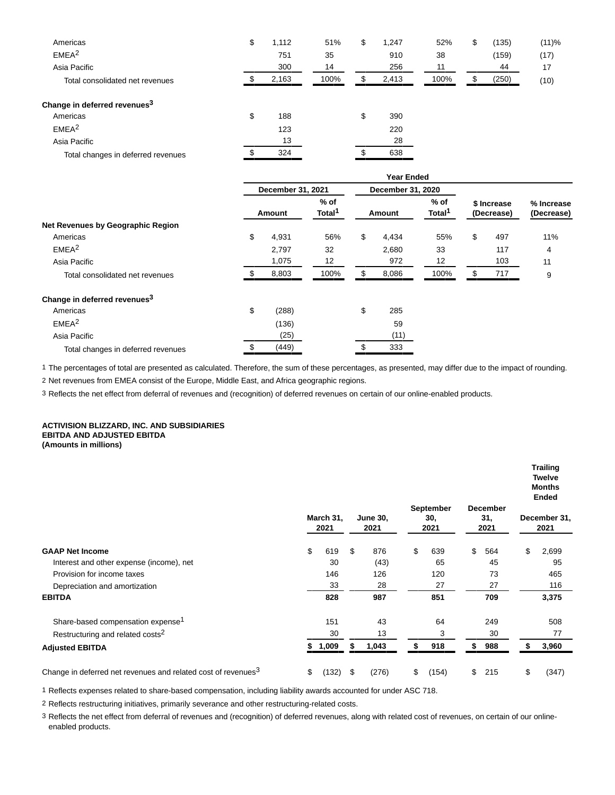| Americas                                 | \$<br>1,112 | 51%  | \$<br>1,247 | 52%  | \$ | (135) | (11)% |
|------------------------------------------|-------------|------|-------------|------|----|-------|-------|
| EMEA <sup>2</sup>                        | 751         | 35   | 910         | 38   |    | (159) | (17)  |
| Asia Pacific                             | 300         | 14   | 256         | 11   |    | 44    | 17    |
| Total consolidated net revenues          | 2,163       | 100% | \$<br>2,413 | 100% | S  | (250) | (10)  |
| Change in deferred revenues <sup>3</sup> |             |      |             |      |    |       |       |
| Americas                                 | \$<br>188   |      | \$<br>390   |      |    |       |       |
| EMEA <sup>2</sup>                        | 123         |      | 220         |      |    |       |       |
| Asia Pacific                             | 13          |      | 28          |      |    |       |       |
| Total changes in deferred revenues       | 324         |      | 638         |      |    |       |       |

|                                          | <b>Year Ended</b> |                   |                              |    |                   |                              |                           |     |                          |  |  |
|------------------------------------------|-------------------|-------------------|------------------------------|----|-------------------|------------------------------|---------------------------|-----|--------------------------|--|--|
|                                          |                   | December 31, 2021 |                              |    | December 31, 2020 |                              |                           |     |                          |  |  |
|                                          | Amount            |                   | $%$ of<br>Total <sup>1</sup> |    | Amount            | $%$ of<br>Total <sup>1</sup> | \$ Increase<br>(Decrease) |     | % Increase<br>(Decrease) |  |  |
| Net Revenues by Geographic Region        |                   |                   |                              |    |                   |                              |                           |     |                          |  |  |
| Americas                                 | \$                | 4,931             | 56%                          | \$ | 4,434             | 55%                          | \$                        | 497 | 11%                      |  |  |
| EMEA <sup>2</sup>                        |                   | 2,797             | 32                           |    | 2,680             | 33                           |                           | 117 | 4                        |  |  |
| Asia Pacific                             |                   | 1,075             | 12                           |    | 972               | 12                           |                           | 103 | 11                       |  |  |
| Total consolidated net revenues          |                   | 8,803             | 100%                         |    | 8,086             | 100%                         | \$                        | 717 | 9                        |  |  |
| Change in deferred revenues <sup>3</sup> |                   |                   |                              |    |                   |                              |                           |     |                          |  |  |
| Americas                                 | \$                | (288)             |                              | \$ | 285               |                              |                           |     |                          |  |  |
| EMEA <sup>2</sup>                        |                   | (136)             |                              |    | 59                |                              |                           |     |                          |  |  |
| Asia Pacific                             |                   | (25)              |                              |    | (11)              |                              |                           |     |                          |  |  |
| Total changes in deferred revenues       |                   | (449)             |                              | \$ | 333               |                              |                           |     |                          |  |  |

1 The percentages of total are presented as calculated. Therefore, the sum of these percentages, as presented, may differ due to the impact of rounding.

2 Net revenues from EMEA consist of the Europe, Middle East, and Africa geographic regions.

3 Reflects the net effect from deferral of revenues and (recognition) of deferred revenues on certain of our online-enabled products.

# **ACTIVISION BLIZZARD, INC. AND SUBSIDIARIES EBITDA AND ADJUSTED EBITDA (Amounts in millions)**

|                                                                           |                   |                         |                          |    |                                | <b>Trailing</b><br><b>Twelve</b><br><b>Months</b><br><b>Ended</b> |
|---------------------------------------------------------------------------|-------------------|-------------------------|--------------------------|----|--------------------------------|-------------------------------------------------------------------|
|                                                                           | March 31,<br>2021 | <b>June 30,</b><br>2021 | September<br>30,<br>2021 |    | <b>December</b><br>31.<br>2021 | December 31,<br>2021                                              |
| <b>GAAP Net Income</b>                                                    | \$<br>619         | \$<br>876               | \$<br>639                | \$ | 564                            | \$<br>2,699                                                       |
| Interest and other expense (income), net                                  | 30                | (43)                    | 65                       |    | 45                             | 95                                                                |
| Provision for income taxes                                                | 146               | 126                     | 120                      |    | 73                             | 465                                                               |
| Depreciation and amortization                                             | 33                | 28                      | 27                       |    | 27                             | 116                                                               |
| <b>EBITDA</b>                                                             | 828               | 987                     | 851                      |    | 709                            | 3,375                                                             |
| Share-based compensation expense <sup>1</sup>                             | 151               | 43                      | 64                       |    | 249                            | 508                                                               |
| Restructuring and related costs <sup>2</sup>                              | 30                | 13                      | 3                        |    | 30                             | 77                                                                |
| <b>Adjusted EBITDA</b>                                                    | 1,009             | 1,043                   | \$<br>918                | S. | 988                            | \$<br>3,960                                                       |
| Change in deferred net revenues and related cost of revenues <sup>3</sup> | \$<br>(132)       | \$<br>(276)             | \$<br>(154)              | \$ | 215                            | \$<br>(347)                                                       |

1 Reflects expenses related to share-based compensation, including liability awards accounted for under ASC 718.

2 Reflects restructuring initiatives, primarily severance and other restructuring-related costs.

3 Reflects the net effect from deferral of revenues and (recognition) of deferred revenues, along with related cost of revenues, on certain of our onlineenabled products.